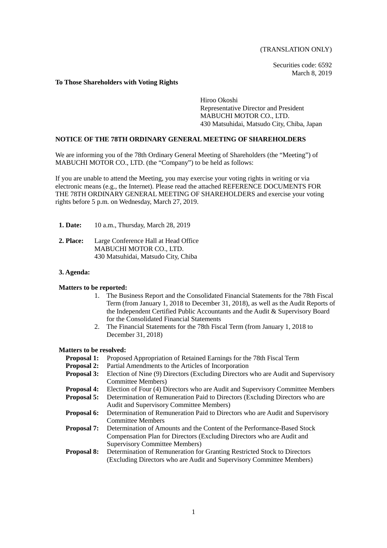(TRANSLATION ONLY)

Securities code: 6592 March 8, 2019

#### **To Those Shareholders with Voting Rights**

Hiroo Okoshi Representative Director and President MABUCHI MOTOR CO., LTD. 430 Matsuhidai, Matsudo City, Chiba, Japan

## **NOTICE OF THE 78TH ORDINARY GENERAL MEETING OF SHAREHOLDERS**

We are informing you of the 78th Ordinary General Meeting of Shareholders (the "Meeting") of MABUCHI MOTOR CO., LTD. (the "Company") to be held as follows:

If you are unable to attend the Meeting, you may exercise your voting rights in writing or via electronic means (e.g., the Internet). Please read the attached REFERENCE DOCUMENTS FOR THE 78TH ORDINARY GENERAL MEETING OF SHAREHOLDERS and exercise your voting rights before 5 p.m. on Wednesday, March 27, 2019.

- **1. Date:** 10 a.m., Thursday, March 28, 2019
- **2. Place:** Large Conference Hall at Head Office MABUCHI MOTOR CO., LTD. 430 Matsuhidai, Matsudo City, Chiba

#### **3. Agenda:**

#### **Matters to be reported:**

- 1. The Business Report and the Consolidated Financial Statements for the 78th Fiscal Term (from January 1, 2018 to December 31, 2018), as well as the Audit Reports of the Independent Certified Public Accountants and the Audit & Supervisory Board for the Consolidated Financial Statements
- 2. The Financial Statements for the 78th Fiscal Term (from January 1, 2018 to December 31, 2018)

#### **Matters to be resolved:**

- **Proposal 1:** Proposed Appropriation of Retained Earnings for the 78th Fiscal Term
- **Proposal 2:** Partial Amendments to the Articles of Incorporation **Proposal 3:** Election of Nine (9) Directors (Excluding Directors
- Election of Nine (9) Directors (Excluding Directors who are Audit and Supervisory Committee Members)
- **Proposal 4:** Election of Four (4) Directors who are Audit and Supervisory Committee Members **Proposal 5:** Determination of Remuneration Paid to Directors (Excluding Directors who are
- **Proposition Determination of Remuneration Paid to Directors (Excluding Directors who are** Audit and Supervisory Committee Members)
- **Proposal 6:** Determination of Remuneration Paid to Directors who are Audit and Supervisory Committee Members
- **Proposal 7:** Determination of Amounts and the Content of the Performance-Based Stock Compensation Plan for Directors (Excluding Directors who are Audit and Supervisory Committee Members)

## **Proposal 8:** Determination of Remuneration for Granting Restricted Stock to Directors (Excluding Directors who are Audit and Supervisory Committee Members)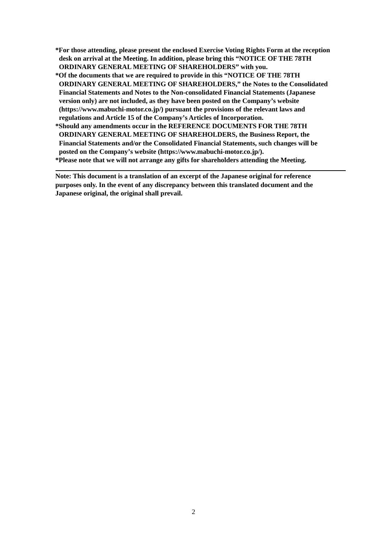- **\*For those attending, please present the enclosed Exercise Voting Rights Form at the reception desk on arrival at the Meeting. In addition, please bring this "NOTICE OF THE 78TH ORDINARY GENERAL MEETING OF SHAREHOLDERS" with you.**
- **\*Of the documents that we are required to provide in this "NOTICE OF THE 78TH ORDINARY GENERAL MEETING OF SHAREHOLDERS," the Notes to the Consolidated Financial Statements and Notes to the Non-consolidated Financial Statements (Japanese version only) are not included, as they have been posted on the Company's website (https://www.mabuchi-motor.co.jp/) pursuant the provisions of the relevant laws and regulations and Article 15 of the Company's Articles of Incorporation.**
- **\*Should any amendments occur in the REFERENCE DOCUMENTS FOR THE 78TH ORDINARY GENERAL MEETING OF SHAREHOLDERS, the Business Report, the Financial Statements and/or the Consolidated Financial Statements, such changes will be posted on the Company's website (https://www.mabuchi-motor.co.jp/).**

**\*Please note that we will not arrange any gifts for shareholders attending the Meeting.** 

**Note: This document is a translation of an excerpt of the Japanese original for reference purposes only. In the event of any discrepancy between this translated document and the Japanese original, the original shall prevail.**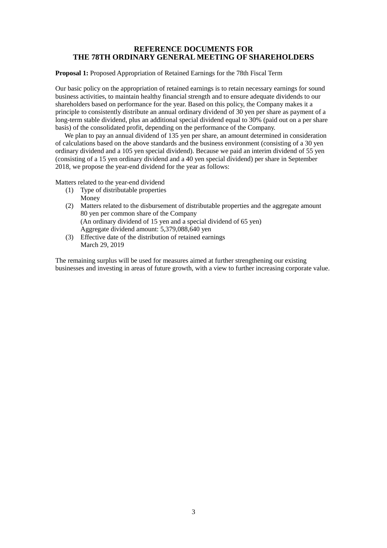## **REFERENCE DOCUMENTS FOR THE 78TH ORDINARY GENERAL MEETING OF SHAREHOLDERS**

**Proposal 1:** Proposed Appropriation of Retained Earnings for the 78th Fiscal Term

Our basic policy on the appropriation of retained earnings is to retain necessary earnings for sound business activities, to maintain healthy financial strength and to ensure adequate dividends to our shareholders based on performance for the year. Based on this policy, the Company makes it a principle to consistently distribute an annual ordinary dividend of 30 yen per share as payment of a long-term stable dividend, plus an additional special dividend equal to 30% (paid out on a per share basis) of the consolidated profit, depending on the performance of the Company.

We plan to pay an annual dividend of 135 yen per share, an amount determined in consideration of calculations based on the above standards and the business environment (consisting of a 30 yen ordinary dividend and a 105 yen special dividend). Because we paid an interim dividend of 55 yen (consisting of a 15 yen ordinary dividend and a 40 yen special dividend) per share in September 2018, we propose the year-end dividend for the year as follows:

Matters related to the year-end dividend

- (1) Type of distributable properties Money
- (2) Matters related to the disbursement of distributable properties and the aggregate amount 80 yen per common share of the Company (An ordinary dividend of 15 yen and a special dividend of 65 yen) Aggregate dividend amount: 5,379,088,640 yen
- (3) Effective date of the distribution of retained earnings March 29, 2019

The remaining surplus will be used for measures aimed at further strengthening our existing businesses and investing in areas of future growth, with a view to further increasing corporate value.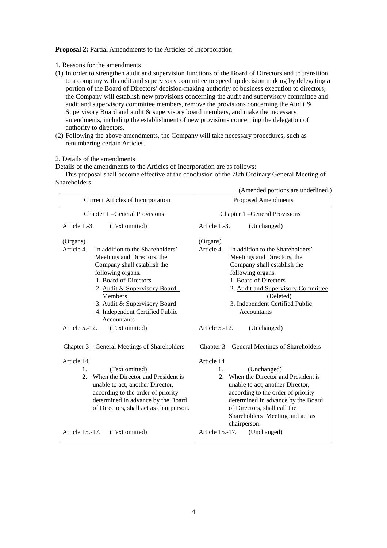#### **Proposal 2:** Partial Amendments to the Articles of Incorporation

- 1. Reasons for the amendments
- (1) In order to strengthen audit and supervision functions of the Board of Directors and to transition to a company with audit and supervisory committee to speed up decision making by delegating a portion of the Board of Directors' decision-making authority of business execution to directors, the Company will establish new provisions concerning the audit and supervisory committee and audit and supervisory committee members, remove the provisions concerning the Audit & Supervisory Board and audit & supervisory board members, and make the necessary amendments, including the establishment of new provisions concerning the delegation of authority to directors.
- (2) Following the above amendments, the Company will take necessary procedures, such as renumbering certain Articles.

#### 2. Details of the amendments

Details of the amendments to the Articles of Incorporation are as follows:

This proposal shall become effective at the conclusion of the 78th Ordinary General Meeting of Shareholders.

|                                                                                                                                                                                                                                                                                                            | (Amended portions are underlined.)                                                                                                                                                                                                                                                 |  |  |
|------------------------------------------------------------------------------------------------------------------------------------------------------------------------------------------------------------------------------------------------------------------------------------------------------------|------------------------------------------------------------------------------------------------------------------------------------------------------------------------------------------------------------------------------------------------------------------------------------|--|--|
| <b>Current Articles of Incorporation</b>                                                                                                                                                                                                                                                                   | <b>Proposed Amendments</b>                                                                                                                                                                                                                                                         |  |  |
| Chapter 1 - General Provisions                                                                                                                                                                                                                                                                             | Chapter 1 - General Provisions                                                                                                                                                                                                                                                     |  |  |
| Article 1.-3.<br>(Text omitted)                                                                                                                                                                                                                                                                            | Article 1.-3.<br>(Unchanged)                                                                                                                                                                                                                                                       |  |  |
| (Organs)<br>Article 4.<br>In addition to the Shareholders'<br>Meetings and Directors, the<br>Company shall establish the<br>following organs.<br>1. Board of Directors<br>2. Audit & Supervisory Board<br>Members<br>3. Audit & Supervisory Board<br>4. Independent Certified Public<br><b>Accountants</b> | (Organs)<br>Article 4.<br>In addition to the Shareholders'<br>Meetings and Directors, the<br>Company shall establish the<br>following organs.<br>1. Board of Directors<br>2. Audit and Supervisory Committee<br>(Deleted)<br>3. Independent Certified Public<br><b>Accountants</b> |  |  |
| Article 5.-12.<br>(Text omitted)                                                                                                                                                                                                                                                                           | Article 5.-12.<br>(Unchanged)                                                                                                                                                                                                                                                      |  |  |
| Chapter 3 – General Meetings of Shareholders<br>Article 14                                                                                                                                                                                                                                                 | Chapter 3 – General Meetings of Shareholders<br>Article 14                                                                                                                                                                                                                         |  |  |
| (Text omitted)<br>$1_{-}$<br>When the Director and President is<br>2.<br>unable to act, another Director,<br>according to the order of priority<br>determined in advance by the Board<br>of Directors, shall act as chairperson.                                                                           | (Unchanged)<br>1.<br>2. When the Director and President is<br>unable to act, another Director,<br>according to the order of priority<br>determined in advance by the Board<br>of Directors, shall call the<br>Shareholders' Meeting and act as<br>chairperson.                     |  |  |
| Article 15.-17.<br>(Text omitted)                                                                                                                                                                                                                                                                          | Article 15.-17.<br>(Unchanged)                                                                                                                                                                                                                                                     |  |  |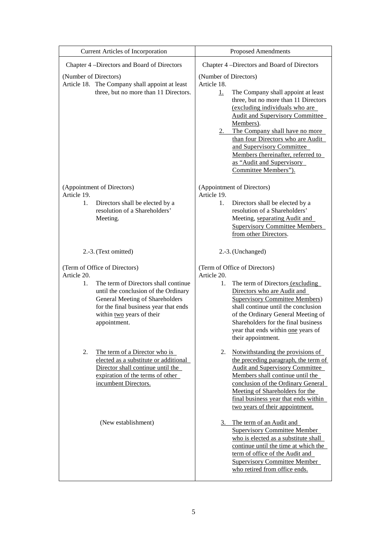| <b>Current Articles of Incorporation</b>                                                                                                                                                                                                                             | <b>Proposed Amendments</b>                                                                                                                                                                                                                                                                                                                                                                                                   |  |  |
|----------------------------------------------------------------------------------------------------------------------------------------------------------------------------------------------------------------------------------------------------------------------|------------------------------------------------------------------------------------------------------------------------------------------------------------------------------------------------------------------------------------------------------------------------------------------------------------------------------------------------------------------------------------------------------------------------------|--|--|
| Chapter 4 -Directors and Board of Directors                                                                                                                                                                                                                          | Chapter 4 -Directors and Board of Directors                                                                                                                                                                                                                                                                                                                                                                                  |  |  |
| (Number of Directors)<br>Article 18. The Company shall appoint at least<br>three, but no more than 11 Directors.                                                                                                                                                     | (Number of Directors)<br>Article 18.<br>The Company shall appoint at least<br><u>1.</u><br>three, but no more than 11 Directors<br>(excluding individuals who are<br><b>Audit and Supervisory Committee</b><br>Members).<br>The Company shall have no more<br>2.<br>than four Directors who are Audit<br>and Supervisory Committee<br>Members (hereinafter, referred to<br>as "Audit and Supervisory<br>Committee Members"). |  |  |
| (Appointment of Directors)<br>Article 19.<br>1.<br>Directors shall be elected by a<br>resolution of a Shareholders'<br>Meeting.                                                                                                                                      | (Appointment of Directors)<br>Article 19.<br>Directors shall be elected by a<br>1.<br>resolution of a Shareholders'<br>Meeting, separating Audit and<br><b>Supervisory Committee Members</b><br>from other Directors.                                                                                                                                                                                                        |  |  |
| 2.-3. (Text omitted)                                                                                                                                                                                                                                                 | 2.-3. (Unchanged)                                                                                                                                                                                                                                                                                                                                                                                                            |  |  |
| (Term of Office of Directors)<br>Article 20.<br>The term of Directors shall continue<br>$1_{\cdot}$<br>until the conclusion of the Ordinary<br>General Meeting of Shareholders<br>for the final business year that ends<br>within two years of their<br>appointment. | (Term of Office of Directors)<br>Article 20.<br>1.<br>The term of Directors (excluding<br>Directors who are Audit and<br><b>Supervisory Committee Members)</b><br>shall continue until the conclusion<br>of the Ordinary General Meeting of<br>Shareholders for the final business<br>year that ends within one years of<br>their appointment.                                                                               |  |  |
| 2.<br>The term of a Director who is<br>elected as a substitute or additional<br>Director shall continue until the<br>expiration of the terms of other<br>incumbent Directors.                                                                                        | Notwithstanding the provisions of<br>2.<br>the preceding paragraph, the term of<br><b>Audit and Supervisory Committee</b><br>Members shall continue until the<br>conclusion of the Ordinary General<br>Meeting of Shareholders for the<br>final business year that ends within<br>two years of their appointment.                                                                                                            |  |  |
| (New establishment)                                                                                                                                                                                                                                                  | The term of an Audit and<br>3.<br><b>Supervisory Committee Member</b><br>who is elected as a substitute shall<br>continue until the time at which the<br>term of office of the Audit and<br><b>Supervisory Committee Member</b><br>who retired from office ends.                                                                                                                                                             |  |  |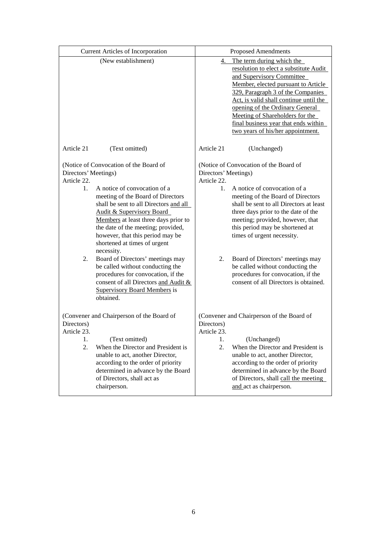| <b>Current Articles of Incorporation</b>                                                                                                                                                                                                                                                                                                                                                                                                                                                                                                                                                                                  |                                       | <b>Proposed Amendments</b>                                                                                                                                                                                                                                                                                                                                                                                                                                                                        |  |  |
|---------------------------------------------------------------------------------------------------------------------------------------------------------------------------------------------------------------------------------------------------------------------------------------------------------------------------------------------------------------------------------------------------------------------------------------------------------------------------------------------------------------------------------------------------------------------------------------------------------------------------|---------------------------------------|---------------------------------------------------------------------------------------------------------------------------------------------------------------------------------------------------------------------------------------------------------------------------------------------------------------------------------------------------------------------------------------------------------------------------------------------------------------------------------------------------|--|--|
| (New establishment)                                                                                                                                                                                                                                                                                                                                                                                                                                                                                                                                                                                                       |                                       | 4. The term during which the<br>resolution to elect a substitute Audit<br>and Supervisory Committee<br>Member, elected pursuant to Article<br>329, Paragraph 3 of the Companies<br>Act, is valid shall continue until the<br>opening of the Ordinary General<br>Meeting of Shareholders for the<br>final business year that ends within<br>two years of his/her appointment.                                                                                                                      |  |  |
| Article 21<br>(Text omitted)                                                                                                                                                                                                                                                                                                                                                                                                                                                                                                                                                                                              | Article 21                            | (Unchanged)                                                                                                                                                                                                                                                                                                                                                                                                                                                                                       |  |  |
| (Notice of Convocation of the Board of<br>Directors' Meetings)<br>Article 22.<br>A notice of convocation of a<br>$1_{\ldots}$<br>meeting of the Board of Directors<br>shall be sent to all Directors and all<br>Audit & Supervisory Board<br>Members at least three days prior to<br>the date of the meeting; provided,<br>however, that this period may be<br>shortened at times of urgent<br>necessity.<br>2.<br>Board of Directors' meetings may<br>be called without conducting the<br>procedures for convocation, if the<br>consent of all Directors and Audit &<br><b>Supervisory Board Members is</b><br>obtained. | Article 22.<br>2.                     | (Notice of Convocation of the Board of<br>Directors' Meetings)<br>A notice of convocation of a<br>$1_{\ldots}$<br>meeting of the Board of Directors<br>shall be sent to all Directors at least<br>three days prior to the date of the<br>meeting; provided, however, that<br>this period may be shortened at<br>times of urgent necessity.<br>Board of Directors' meetings may<br>be called without conducting the<br>procedures for convocation, if the<br>consent of all Directors is obtained. |  |  |
| (Convener and Chairperson of the Board of<br>Directors)<br>Article 23.<br>1.<br>(Text omitted)<br>2.<br>When the Director and President is<br>unable to act, another Director,<br>according to the order of priority<br>determined in advance by the Board<br>of Directors, shall act as<br>chairperson.                                                                                                                                                                                                                                                                                                                  | Directors)<br>Article 23.<br>l.<br>2. | (Convener and Chairperson of the Board of<br>(Unchanged)<br>When the Director and President is<br>unable to act, another Director,<br>according to the order of priority<br>determined in advance by the Board<br>of Directors, shall call the meeting<br>and act as chairperson.                                                                                                                                                                                                                 |  |  |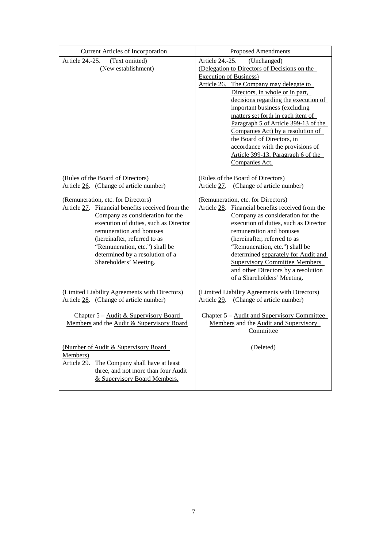| <b>Current Articles of Incorporation</b>                                                                                                                                                                                                                                                                                       | <b>Proposed Amendments</b>                                                                                                                                                                                                                                                                                                                                                                                                                                                                                          |
|--------------------------------------------------------------------------------------------------------------------------------------------------------------------------------------------------------------------------------------------------------------------------------------------------------------------------------|---------------------------------------------------------------------------------------------------------------------------------------------------------------------------------------------------------------------------------------------------------------------------------------------------------------------------------------------------------------------------------------------------------------------------------------------------------------------------------------------------------------------|
| Article 24.-25.<br>(Text omitted)<br>(New establishment)                                                                                                                                                                                                                                                                       | Article 24.-25.<br>(Unchanged)<br>(Delegation to Directors of Decisions on the<br><b>Execution of Business)</b><br>Article 26. The Company may delegate to<br>Directors, in whole or in part,<br>decisions regarding the execution of<br>important business (excluding<br>matters set forth in each item of<br>Paragraph 5 of Article 399-13 of the<br>Companies Act) by a resolution of<br>the Board of Directors, in<br>accordance with the provisions of<br>Article 399-13, Paragraph 6 of the<br>Companies Act. |
| (Rules of the Board of Directors)<br>Article 26. (Change of article number)                                                                                                                                                                                                                                                    | (Rules of the Board of Directors)<br>Article 27. (Change of article number)                                                                                                                                                                                                                                                                                                                                                                                                                                         |
| (Remuneration, etc. for Directors)<br>Article 27. Financial benefits received from the<br>Company as consideration for the<br>execution of duties, such as Director<br>remuneration and bonuses<br>(hereinafter, referred to as<br>"Remuneration, etc.") shall be<br>determined by a resolution of a<br>Shareholders' Meeting. | (Remuneration, etc. for Directors)<br>Article 28. Financial benefits received from the<br>Company as consideration for the<br>execution of duties, such as Director<br>remuneration and bonuses<br>(hereinafter, referred to as<br>"Remuneration, etc.") shall be<br>determined separately for Audit and<br><b>Supervisory Committee Members</b><br>and other Directors by a resolution<br>of a Shareholders' Meeting.                                                                                              |
| (Limited Liability Agreements with Directors)<br>Article 28. (Change of article number)                                                                                                                                                                                                                                        | (Limited Liability Agreements with Directors)<br>Article 29. (Change of article number)                                                                                                                                                                                                                                                                                                                                                                                                                             |
| Chapter 5 – Audit & Supervisory Board<br>Members and the Audit & Supervisory Board                                                                                                                                                                                                                                             | Chapter 5 – Audit and Supervisory Committee<br>Members and the Audit and Supervisory<br>Committee                                                                                                                                                                                                                                                                                                                                                                                                                   |
| (Number of Audit & Supervisory Board<br>Members)<br>Article 29. The Company shall have at least<br>three, and not more than four Audit<br>& Supervisory Board Members.                                                                                                                                                         | (Deleted)                                                                                                                                                                                                                                                                                                                                                                                                                                                                                                           |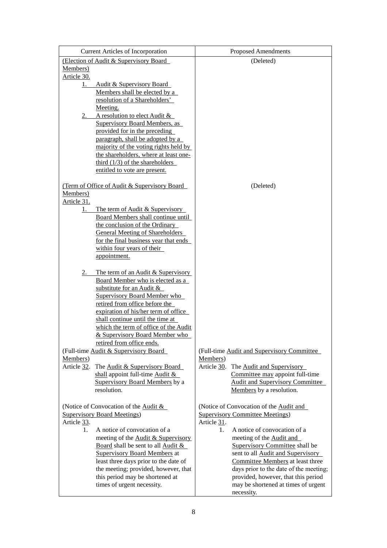|                   | <b>Current Articles of Incorporation</b>                    | <b>Proposed Amendments</b>                        |  |
|-------------------|-------------------------------------------------------------|---------------------------------------------------|--|
|                   | (Election of Audit & Supervisory Board                      | (Deleted)                                         |  |
| Members)          |                                                             |                                                   |  |
| Article 30.       |                                                             |                                                   |  |
| 1.                | Audit & Supervisory Board                                   |                                                   |  |
|                   | Members shall be elected by a                               |                                                   |  |
|                   | resolution of a Shareholders'<br>Meeting.                   |                                                   |  |
| 2.                | A resolution to elect Audit &                               |                                                   |  |
|                   | Supervisory Board Members, as                               |                                                   |  |
|                   | provided for in the preceding                               |                                                   |  |
|                   | paragraph, shall be adopted by a                            |                                                   |  |
|                   | majority of the voting rights held by                       |                                                   |  |
|                   | the shareholders, where at least one-                       |                                                   |  |
|                   | third $(1/3)$ of the shareholders                           |                                                   |  |
|                   | entitled to vote are present.                               |                                                   |  |
|                   | (Term of Office of Audit & Supervisory Board                |                                                   |  |
| Members)          |                                                             | (Deleted)                                         |  |
| Article 31.       |                                                             |                                                   |  |
| 1.                | The term of Audit & Supervisory                             |                                                   |  |
|                   | Board Members shall continue until                          |                                                   |  |
|                   | the conclusion of the Ordinary                              |                                                   |  |
|                   | <b>General Meeting of Shareholders</b>                      |                                                   |  |
|                   | for the final business year that ends                       |                                                   |  |
|                   | within four years of their                                  |                                                   |  |
|                   | appointment.                                                |                                                   |  |
| 2.                | The term of an Audit & Supervisory                          |                                                   |  |
|                   | Board Member who is elected as a                            |                                                   |  |
|                   | substitute for an Audit $&$                                 |                                                   |  |
|                   | <b>Supervisory Board Member who</b>                         |                                                   |  |
|                   | retired from office before the                              |                                                   |  |
|                   | expiration of his/her term of office                        |                                                   |  |
|                   | shall continue until the time at                            |                                                   |  |
|                   | which the term of office of the Audit                       |                                                   |  |
|                   | & Supervisory Board Member who<br>retired from office ends. |                                                   |  |
|                   | (Full-time Audit & Supervisory Board                        | (Full-time Audit and Supervisory Committee        |  |
| Members)          |                                                             | Members)                                          |  |
| Article 32.       | The Audit & Supervisory Board                               | Article 30.<br>The Audit and Supervisory          |  |
|                   | shall appoint full-time Audit $\&$                          | Committee may appoint full-time                   |  |
|                   | <b>Supervisory Board Members by a</b>                       | <b>Audit and Supervisory Committee</b>            |  |
|                   | resolution.                                                 | Members by a resolution.                          |  |
|                   |                                                             |                                                   |  |
|                   | (Notice of Convocation of the Audit $\&$                    | (Notice of Convocation of the Audit and           |  |
|                   | <b>Supervisory Board Meetings)</b>                          | <b>Supervisory Committee Meetings)</b>            |  |
| Article 33.<br>1. | A notice of convocation of a                                | Article 31.<br>A notice of convocation of a<br>1. |  |
|                   | meeting of the Audit & Supervisory                          | meeting of the Audit and                          |  |
|                   | Board shall be sent to all Audit &                          | Supervisory Committee shall be                    |  |
|                   | <b>Supervisory Board Members at</b>                         | sent to all <b>Audit</b> and <b>Supervisory</b>   |  |
|                   | least three days prior to the date of                       | Committee Members at least three                  |  |
|                   | the meeting; provided, however, that                        | days prior to the date of the meeting;            |  |
|                   | this period may be shortened at                             | provided, however, that this period               |  |
|                   | times of urgent necessity.                                  | may be shortened at times of urgent               |  |
|                   |                                                             | necessity.                                        |  |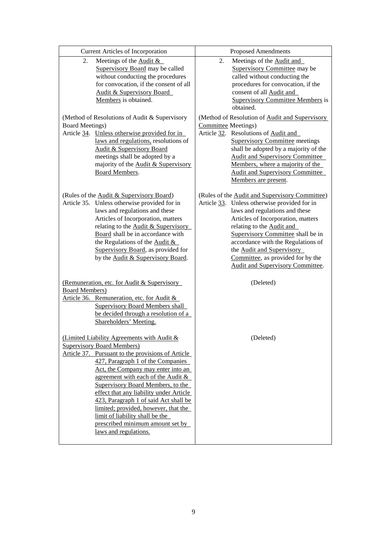| <b>Current Articles of Incorporation</b>                                                                                                                                                                                                                                                                                                                                                                                                                                                                                  | <b>Proposed Amendments</b>                                                                                                                                                                                                                                                                                                                                                                                |  |  |
|---------------------------------------------------------------------------------------------------------------------------------------------------------------------------------------------------------------------------------------------------------------------------------------------------------------------------------------------------------------------------------------------------------------------------------------------------------------------------------------------------------------------------|-----------------------------------------------------------------------------------------------------------------------------------------------------------------------------------------------------------------------------------------------------------------------------------------------------------------------------------------------------------------------------------------------------------|--|--|
| Meetings of the Audit $\&$<br>2.<br>Supervisory Board may be called<br>without conducting the procedures<br>for convocation, if the consent of all<br>Audit & Supervisory Board<br>Members is obtained.<br>(Method of Resolutions of Audit & Supervisory                                                                                                                                                                                                                                                                  | Meetings of the Audit and<br>2.<br>Supervisory Committee may be<br>called without conducting the<br>procedures for convocation, if the<br>consent of all Audit and<br><b>Supervisory Committee Members is</b><br>obtained.<br>(Method of Resolution of Audit and Supervisory                                                                                                                              |  |  |
| <b>Board Meetings)</b><br>Article 34. Unless otherwise provided for in<br>laws and regulations, resolutions of<br><b>Audit &amp; Supervisory Board</b><br>meetings shall be adopted by a<br>majority of the Audit & Supervisory<br><b>Board Members.</b>                                                                                                                                                                                                                                                                  | <b>Committee Meetings)</b><br>Article 32. Resolutions of Audit and<br><b>Supervisory Committee meetings</b><br>shall be adopted by a majority of the<br><b>Audit and Supervisory Committee</b><br>Members, where a majority of the<br><b>Audit and Supervisory Committee</b><br>Members are present.                                                                                                      |  |  |
| (Rules of the Audit & Supervisory Board)<br>Article 35. Unless otherwise provided for in<br>laws and regulations and these<br>Articles of Incorporation, matters<br>relating to the <b>Audit &amp; Supervisory</b><br>Board shall be in accordance with<br>the Regulations of the Audit $\&$<br>Supervisory Board, as provided for<br>by the Audit & Supervisory Board.                                                                                                                                                   | (Rules of the Audit and Supervisory Committee)<br>Article 33. Unless otherwise provided for in<br>laws and regulations and these<br>Articles of Incorporation, matters<br>relating to the <b>Audit and</b><br>Supervisory Committee shall be in<br>accordance with the Regulations of<br>the <b>Audit and Supervisory</b><br>Committee, as provided for by the<br><b>Audit and Supervisory Committee.</b> |  |  |
| (Remuneration, etc. for Audit & Supervisory<br><b>Board Members</b> )<br>Article 36. Remuneration, etc. for Audit &<br><b>Supervisory Board Members shall</b><br>be decided through a resolution of a<br>Shareholders' Meeting.                                                                                                                                                                                                                                                                                           | (Deleted)                                                                                                                                                                                                                                                                                                                                                                                                 |  |  |
| (Limited Liability Agreements with Audit &<br><b>Supervisory Board Members)</b><br>Article 37. Pursuant to the provisions of Article<br>427, Paragraph 1 of the Companies<br>Act, the Company may enter into an<br>agreement with each of the Audit $\&$<br>Supervisory Board Members, to the<br>effect that any liability under Article<br>423, Paragraph 1 of said Act shall be<br>limited; provided, however, that the<br>limit of liability shall be the<br>prescribed minimum amount set by<br>laws and regulations. | (Deleted)                                                                                                                                                                                                                                                                                                                                                                                                 |  |  |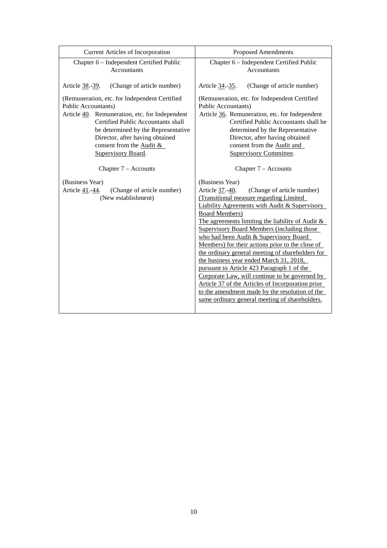| Current Articles of Incorporation              | <b>Proposed Amendments</b>                                                                                                                                                                                                                                                                                                                                                                                                                                                                                                                                                                                                                       |  |
|------------------------------------------------|--------------------------------------------------------------------------------------------------------------------------------------------------------------------------------------------------------------------------------------------------------------------------------------------------------------------------------------------------------------------------------------------------------------------------------------------------------------------------------------------------------------------------------------------------------------------------------------------------------------------------------------------------|--|
| Chapter 6 - Independent Certified Public       | Chapter 6 - Independent Certified Public                                                                                                                                                                                                                                                                                                                                                                                                                                                                                                                                                                                                         |  |
| <b>Accountants</b>                             | <b>Accountants</b>                                                                                                                                                                                                                                                                                                                                                                                                                                                                                                                                                                                                                               |  |
| Article 38.-39.                                | Article 34.-35.                                                                                                                                                                                                                                                                                                                                                                                                                                                                                                                                                                                                                                  |  |
| (Change of article number)                     | (Change of article number)                                                                                                                                                                                                                                                                                                                                                                                                                                                                                                                                                                                                                       |  |
| (Remuneration, etc. for Independent Certified  | (Remuneration, etc. for Independent Certified                                                                                                                                                                                                                                                                                                                                                                                                                                                                                                                                                                                                    |  |
| <b>Public Accountants)</b>                     | <b>Public Accountants)</b>                                                                                                                                                                                                                                                                                                                                                                                                                                                                                                                                                                                                                       |  |
| Article 40. Remuneration, etc. for Independent | Article 36. Remuneration, etc. for Independent                                                                                                                                                                                                                                                                                                                                                                                                                                                                                                                                                                                                   |  |
| <b>Certified Public Accountants shall</b>      | Certified Public Accountants shall be                                                                                                                                                                                                                                                                                                                                                                                                                                                                                                                                                                                                            |  |
| be determined by the Representative            | determined by the Representative                                                                                                                                                                                                                                                                                                                                                                                                                                                                                                                                                                                                                 |  |
| Director, after having obtained                | Director, after having obtained                                                                                                                                                                                                                                                                                                                                                                                                                                                                                                                                                                                                                  |  |
| consent from the Audit &                       | consent from the Audit and                                                                                                                                                                                                                                                                                                                                                                                                                                                                                                                                                                                                                       |  |
| Supervisory Board.                             | <b>Supervisory Committee.</b>                                                                                                                                                                                                                                                                                                                                                                                                                                                                                                                                                                                                                    |  |
| Chapter $7 -$ Accounts                         | Chapter $7 -$ Accounts                                                                                                                                                                                                                                                                                                                                                                                                                                                                                                                                                                                                                           |  |
| (Business Year)                                | (Business Year)                                                                                                                                                                                                                                                                                                                                                                                                                                                                                                                                                                                                                                  |  |
| (Change of article number)                     | Article 37.-40.                                                                                                                                                                                                                                                                                                                                                                                                                                                                                                                                                                                                                                  |  |
| Article 41.-44.                                | (Change of article number)                                                                                                                                                                                                                                                                                                                                                                                                                                                                                                                                                                                                                       |  |
| (New establishment)                            | (Transitional measure regarding Limited                                                                                                                                                                                                                                                                                                                                                                                                                                                                                                                                                                                                          |  |
|                                                | <b>Liability Agreements with Audit &amp; Supervisory</b><br><b>Board Members)</b><br>The agreements limiting the liability of Audit &<br><b>Supervisory Board Members (including those</b><br>who had been Audit & Supervisory Board<br>Members) for their actions prior to the close of<br>the ordinary general meeting of shareholders for<br>the business year ended March 31, 2018,<br>pursuant to Article 423 Paragraph 1 of the<br>Corporate Law, will continue to be governed by<br>Article 37 of the Articles of Incorporation prior<br>to the amendment made by the resolution of the<br>same ordinary general meeting of shareholders. |  |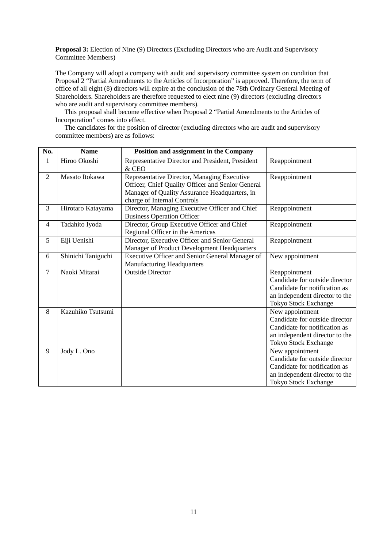**Proposal 3:** Election of Nine (9) Directors (Excluding Directors who are Audit and Supervisory Committee Members)

The Company will adopt a company with audit and supervisory committee system on condition that Proposal 2 "Partial Amendments to the Articles of Incorporation" is approved. Therefore, the term of office of all eight (8) directors will expire at the conclusion of the 78th Ordinary General Meeting of Shareholders. Shareholders are therefore requested to elect nine (9) directors (excluding directors who are audit and supervisory committee members).

This proposal shall become effective when Proposal 2 "Partial Amendments to the Articles of Incorporation" comes into effect.

The candidates for the position of director (excluding directors who are audit and supervisory committee members) are as follows:

| No.            | <b>Name</b>        | Position and assignment in the Company                                                                                                                                           |                                                                                                                                                     |
|----------------|--------------------|----------------------------------------------------------------------------------------------------------------------------------------------------------------------------------|-----------------------------------------------------------------------------------------------------------------------------------------------------|
| $\mathbf{1}$   | Hiroo Okoshi       | Representative Director and President, President<br>& CEO                                                                                                                        | Reappointment                                                                                                                                       |
| 2              | Masato Itokawa     | Representative Director, Managing Executive<br>Officer, Chief Quality Officer and Senior General<br>Manager of Quality Assurance Headquarters, in<br>charge of Internal Controls | Reappointment                                                                                                                                       |
| 3              | Hirotaro Katayama  | Director, Managing Executive Officer and Chief<br><b>Business Operation Officer</b>                                                                                              | Reappointment                                                                                                                                       |
| $\overline{4}$ | Tadahito Iyoda     | Director, Group Executive Officer and Chief<br>Regional Officer in the Americas                                                                                                  | Reappointment                                                                                                                                       |
| 5              | Eiji Uenishi       | Director, Executive Officer and Senior General<br>Manager of Product Development Headquarters                                                                                    | Reappointment                                                                                                                                       |
| 6              | Shinichi Taniguchi | Executive Officer and Senior General Manager of<br><b>Manufacturing Headquarters</b>                                                                                             | New appointment                                                                                                                                     |
| $\tau$         | Naoki Mitarai      | <b>Outside Director</b>                                                                                                                                                          | Reappointment<br>Candidate for outside director<br>Candidate for notification as<br>an independent director to the<br>Tokyo Stock Exchange          |
| 8              | Kazuhiko Tsutsumi  |                                                                                                                                                                                  | New appointment<br>Candidate for outside director<br>Candidate for notification as<br>an independent director to the<br>Tokyo Stock Exchange        |
| 9              | Jody L. Ono        |                                                                                                                                                                                  | New appointment<br>Candidate for outside director<br>Candidate for notification as<br>an independent director to the<br><b>Tokyo Stock Exchange</b> |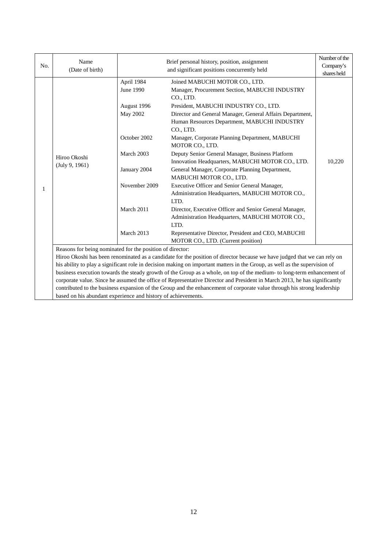| No. | Name<br>(Date of birth)                                                                                                                                                                                                                                                                                             | Brief personal history, position, assignment<br>and significant positions concurrently held |                                                                                                                        | Number of the<br>Company's<br>shares held |
|-----|---------------------------------------------------------------------------------------------------------------------------------------------------------------------------------------------------------------------------------------------------------------------------------------------------------------------|---------------------------------------------------------------------------------------------|------------------------------------------------------------------------------------------------------------------------|-------------------------------------------|
|     |                                                                                                                                                                                                                                                                                                                     | April 1984<br><b>June 1990</b>                                                              | Joined MABUCHI MOTOR CO., LTD.<br>Manager, Procurement Section, MABUCHI INDUSTRY<br>CO., LTD.                          |                                           |
|     |                                                                                                                                                                                                                                                                                                                     | August 1996                                                                                 | President, MABUCHI INDUSTRY CO., LTD.                                                                                  |                                           |
|     |                                                                                                                                                                                                                                                                                                                     | <b>May 2002</b>                                                                             | Director and General Manager, General Affairs Department,<br>Human Resources Department, MABUCHI INDUSTRY<br>CO., LTD. |                                           |
|     |                                                                                                                                                                                                                                                                                                                     | October 2002                                                                                | Manager, Corporate Planning Department, MABUCHI<br>MOTOR CO., LTD.                                                     |                                           |
| 1   | Hiroo Okoshi<br>(July 9, 1961)                                                                                                                                                                                                                                                                                      | March 2003                                                                                  | Deputy Senior General Manager, Business Platform<br>Innovation Headquarters, MABUCHI MOTOR CO., LTD.                   | 10,220                                    |
|     |                                                                                                                                                                                                                                                                                                                     | January 2004                                                                                | General Manager, Corporate Planning Department,<br>MABUCHI MOTOR CO., LTD.                                             |                                           |
|     |                                                                                                                                                                                                                                                                                                                     | November 2009                                                                               | Executive Officer and Senior General Manager,<br>Administration Headquarters, MABUCHI MOTOR CO.,<br>LTD.               |                                           |
|     |                                                                                                                                                                                                                                                                                                                     | March 2011                                                                                  | Director, Executive Officer and Senior General Manager,<br>Administration Headquarters, MABUCHI MOTOR CO.,<br>LTD.     |                                           |
|     |                                                                                                                                                                                                                                                                                                                     | March 2013                                                                                  | Representative Director, President and CEO, MABUCHI<br>MOTOR CO., LTD. (Current position)                              |                                           |
|     | Reasons for being nominated for the position of director:<br>Hiroo Okoshi has been renominated as a candidate for the position of director because we have judged that we can rely on<br>his ability to play a significant role in decision making on important matters in the Group, as well as the supervision of |                                                                                             |                                                                                                                        |                                           |
|     |                                                                                                                                                                                                                                                                                                                     |                                                                                             |                                                                                                                        |                                           |
|     |                                                                                                                                                                                                                                                                                                                     |                                                                                             |                                                                                                                        |                                           |
|     | business execution towards the steady growth of the Group as a whole, on top of the medium- to long-term enhancement of                                                                                                                                                                                             |                                                                                             |                                                                                                                        |                                           |
|     | corporate value. Since he assumed the office of Representative Director and President in March 2013, he has significantly                                                                                                                                                                                           |                                                                                             |                                                                                                                        |                                           |
|     | contributed to the business expansion of the Group and the enhancement of corporate value through his strong leadership                                                                                                                                                                                             |                                                                                             |                                                                                                                        |                                           |
|     | based on his abundant experience and history of achievements.                                                                                                                                                                                                                                                       |                                                                                             |                                                                                                                        |                                           |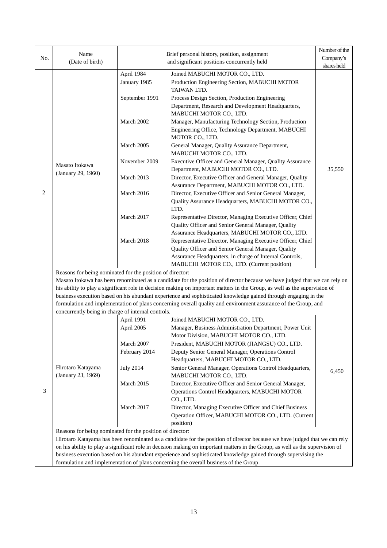| No. | Name                                                                                  |                            | Brief personal history, position, assignment                                                                                                                                                                                                             | Number of the<br>Company's |  |
|-----|---------------------------------------------------------------------------------------|----------------------------|----------------------------------------------------------------------------------------------------------------------------------------------------------------------------------------------------------------------------------------------------------|----------------------------|--|
|     | (Date of birth)                                                                       |                            | and significant positions concurrently held                                                                                                                                                                                                              | shares held                |  |
|     |                                                                                       | April 1984<br>January 1985 | Joined MABUCHI MOTOR CO., LTD.<br>Production Engineering Section, MABUCHI MOTOR<br>TAIWAN LTD.                                                                                                                                                           |                            |  |
|     |                                                                                       | September 1991             | Process Design Section, Production Engineering<br>Department, Research and Development Headquarters,<br>MABUCHI MOTOR CO., LTD.                                                                                                                          |                            |  |
|     |                                                                                       | March 2002                 | Manager, Manufacturing Technology Section, Production<br>Engineering Office, Technology Department, MABUCHI<br>MOTOR CO., LTD.                                                                                                                           |                            |  |
|     |                                                                                       | March 2005                 | General Manager, Quality Assurance Department,<br>MABUCHI MOTOR CO., LTD.                                                                                                                                                                                |                            |  |
|     | Masato Itokawa                                                                        | November 2009              | Executive Officer and General Manager, Quality Assurance<br>Department, MABUCHI MOTOR CO., LTD.                                                                                                                                                          | 35,550                     |  |
|     | (January 29, 1960)                                                                    | March 2013                 | Director, Executive Officer and General Manager, Quality<br>Assurance Department, MABUCHI MOTOR CO., LTD.                                                                                                                                                |                            |  |
| 2   |                                                                                       | March 2016                 | Director, Executive Officer and Senior General Manager,<br>Quality Assurance Headquarters, MABUCHI MOTOR CO.,<br>LTD.                                                                                                                                    |                            |  |
|     |                                                                                       | March 2017                 | Representative Director, Managing Executive Officer, Chief<br>Quality Officer and Senior General Manager, Quality<br>Assurance Headquarters, MABUCHI MOTOR CO., LTD.                                                                                     |                            |  |
|     |                                                                                       | March 2018                 | Representative Director, Managing Executive Officer, Chief<br>Quality Officer and Senior General Manager, Quality<br>Assurance Headquarters, in charge of Internal Controls,                                                                             |                            |  |
|     |                                                                                       |                            | MABUCHI MOTOR CO., LTD. (Current position)                                                                                                                                                                                                               |                            |  |
|     | Reasons for being nominated for the position of director:                             |                            |                                                                                                                                                                                                                                                          |                            |  |
|     |                                                                                       |                            | Masato Itokawa has been renominated as a candidate for the position of director because we have judged that we can rely on<br>his ability to play a significant role in decision making on important matters in the Group, as well as the supervision of |                            |  |
|     |                                                                                       |                            | business execution based on his abundant experience and sophisticated knowledge gained through engaging in the                                                                                                                                           |                            |  |
|     |                                                                                       |                            | formulation and implementation of plans concerning overall quality and environment assurance of the Group, and                                                                                                                                           |                            |  |
|     | concurrently being in charge of internal controls.                                    |                            |                                                                                                                                                                                                                                                          |                            |  |
|     |                                                                                       | April 1991                 | Joined MABUCHI MOTOR CO., LTD.                                                                                                                                                                                                                           |                            |  |
|     |                                                                                       | April 2005                 | Manager, Business Administration Department, Power Unit<br>Motor Division, MABUCHI MOTOR CO., LTD.                                                                                                                                                       |                            |  |
|     |                                                                                       | March 2007                 | President, MABUCHI MOTOR (JIANGSU) CO., LTD.                                                                                                                                                                                                             |                            |  |
|     |                                                                                       | February 2014              | Deputy Senior General Manager, Operations Control                                                                                                                                                                                                        |                            |  |
|     |                                                                                       |                            | Headquarters, MABUCHI MOTOR CO., LTD.                                                                                                                                                                                                                    |                            |  |
|     | Hirotaro Katayama<br>(January 23, 1969)                                               | <b>July 2014</b>           | Senior General Manager, Operations Control Headquarters,<br>MABUCHI MOTOR CO., LTD.                                                                                                                                                                      | 6,450                      |  |
| 3   |                                                                                       | March 2015                 | Director, Executive Officer and Senior General Manager,<br>Operations Control Headquarters, MABUCHI MOTOR                                                                                                                                                |                            |  |
|     |                                                                                       | March 2017                 | CO., LTD.<br>Director, Managing Executive Officer and Chief Business<br>Operation Officer, MABUCHI MOTOR CO., LTD. (Current<br>position)                                                                                                                 |                            |  |
|     | Reasons for being nominated for the position of director:                             |                            |                                                                                                                                                                                                                                                          |                            |  |
|     |                                                                                       |                            | Hirotaro Katayama has been renominated as a candidate for the position of director because we have judged that we can rely                                                                                                                               |                            |  |
|     |                                                                                       |                            | on his ability to play a significant role in decision making on important matters in the Group, as well as the supervision of                                                                                                                            |                            |  |
|     |                                                                                       |                            | business execution based on his abundant experience and sophisticated knowledge gained through supervising the                                                                                                                                           |                            |  |
|     | formulation and implementation of plans concerning the overall business of the Group. |                            |                                                                                                                                                                                                                                                          |                            |  |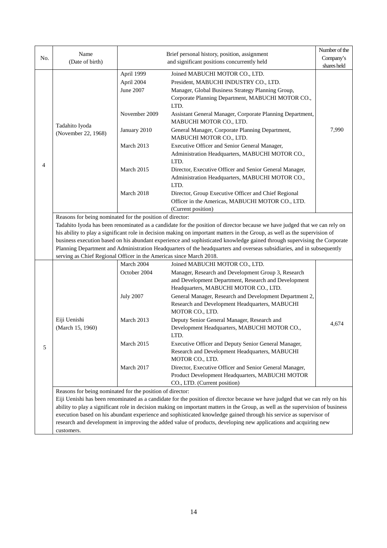|     | Name                                                                                                                                                                                                                                                   |                                                                                                                              | Brief personal history, position, assignment                                                                                    | Number of the            |  |  |
|-----|--------------------------------------------------------------------------------------------------------------------------------------------------------------------------------------------------------------------------------------------------------|------------------------------------------------------------------------------------------------------------------------------|---------------------------------------------------------------------------------------------------------------------------------|--------------------------|--|--|
| No. | (Date of birth)                                                                                                                                                                                                                                        |                                                                                                                              | and significant positions concurrently held                                                                                     | Company's<br>shares held |  |  |
|     |                                                                                                                                                                                                                                                        |                                                                                                                              |                                                                                                                                 |                          |  |  |
|     |                                                                                                                                                                                                                                                        | April 1999                                                                                                                   | Joined MABUCHI MOTOR CO., LTD.                                                                                                  |                          |  |  |
|     |                                                                                                                                                                                                                                                        | April 2004                                                                                                                   | President, MABUCHI INDUSTRY CO., LTD.                                                                                           |                          |  |  |
|     |                                                                                                                                                                                                                                                        | June 2007                                                                                                                    | Manager, Global Business Strategy Planning Group,                                                                               |                          |  |  |
|     |                                                                                                                                                                                                                                                        |                                                                                                                              | Corporate Planning Department, MABUCHI MOTOR CO.,<br>LTD.                                                                       |                          |  |  |
|     | Tadahito Iyoda                                                                                                                                                                                                                                         | November 2009                                                                                                                | Assistant General Manager, Corporate Planning Department,<br>MABUCHI MOTOR CO., LTD.                                            |                          |  |  |
|     | (November 22, 1968)                                                                                                                                                                                                                                    | January 2010                                                                                                                 | General Manager, Corporate Planning Department,<br>MABUCHI MOTOR CO., LTD.                                                      | 7,990                    |  |  |
|     |                                                                                                                                                                                                                                                        | March 2013                                                                                                                   | Executive Officer and Senior General Manager,<br>Administration Headquarters, MABUCHI MOTOR CO.,                                |                          |  |  |
| 4   |                                                                                                                                                                                                                                                        |                                                                                                                              | LTD.                                                                                                                            |                          |  |  |
|     |                                                                                                                                                                                                                                                        | March 2015                                                                                                                   | Director, Executive Officer and Senior General Manager,                                                                         |                          |  |  |
|     |                                                                                                                                                                                                                                                        |                                                                                                                              | Administration Headquarters, MABUCHI MOTOR CO.,<br>LTD.                                                                         |                          |  |  |
|     |                                                                                                                                                                                                                                                        | March 2018                                                                                                                   | Director, Group Executive Officer and Chief Regional                                                                            |                          |  |  |
|     |                                                                                                                                                                                                                                                        |                                                                                                                              | Officer in the Americas, MABUCHI MOTOR CO., LTD.                                                                                |                          |  |  |
|     |                                                                                                                                                                                                                                                        |                                                                                                                              | (Current position)                                                                                                              |                          |  |  |
|     |                                                                                                                                                                                                                                                        | Reasons for being nominated for the position of director:                                                                    |                                                                                                                                 |                          |  |  |
|     |                                                                                                                                                                                                                                                        |                                                                                                                              | Tadahito Iyoda has been renominated as a candidate for the position of director because we have judged that we can rely on      |                          |  |  |
|     | his ability to play a significant role in decision making on important matters in the Group, as well as the supervision of<br>business execution based on his abundant experience and sophisticated knowledge gained through supervising the Corporate |                                                                                                                              |                                                                                                                                 |                          |  |  |
|     |                                                                                                                                                                                                                                                        |                                                                                                                              |                                                                                                                                 |                          |  |  |
|     | Planning Department and Administration Headquarters of the headquarters and overseas subsidiaries, and in subsequently<br>serving as Chief Regional Officer in the Americas since March 2018.                                                          |                                                                                                                              |                                                                                                                                 |                          |  |  |
|     |                                                                                                                                                                                                                                                        | March 2004                                                                                                                   | Joined MABUCHI MOTOR CO., LTD.                                                                                                  |                          |  |  |
|     |                                                                                                                                                                                                                                                        | October 2004                                                                                                                 | Manager, Research and Development Group 3, Research                                                                             |                          |  |  |
|     |                                                                                                                                                                                                                                                        |                                                                                                                              | and Development Department, Research and Development                                                                            |                          |  |  |
|     |                                                                                                                                                                                                                                                        |                                                                                                                              | Headquarters, MABUCHI MOTOR CO., LTD.                                                                                           |                          |  |  |
|     |                                                                                                                                                                                                                                                        | <b>July 2007</b>                                                                                                             | General Manager, Research and Development Department 2,                                                                         |                          |  |  |
|     |                                                                                                                                                                                                                                                        |                                                                                                                              | Research and Development Headquarters, MABUCHI                                                                                  |                          |  |  |
|     |                                                                                                                                                                                                                                                        |                                                                                                                              | MOTOR CO., LTD.                                                                                                                 |                          |  |  |
|     | Eiji Uenishi                                                                                                                                                                                                                                           | March 2013                                                                                                                   | Deputy Senior General Manager, Research and                                                                                     | 4,674                    |  |  |
|     | (March 15, 1960)                                                                                                                                                                                                                                       |                                                                                                                              | Development Headquarters, MABUCHI MOTOR CO.,<br>LTD.                                                                            |                          |  |  |
| 5   |                                                                                                                                                                                                                                                        | March 2015                                                                                                                   | Executive Officer and Deputy Senior General Manager,                                                                            |                          |  |  |
|     |                                                                                                                                                                                                                                                        |                                                                                                                              | Research and Development Headquarters, MABUCHI<br>MOTOR CO., LTD.                                                               |                          |  |  |
|     |                                                                                                                                                                                                                                                        | March 2017                                                                                                                   | Director, Executive Officer and Senior General Manager,                                                                         |                          |  |  |
|     |                                                                                                                                                                                                                                                        |                                                                                                                              | Product Development Headquarters, MABUCHI MOTOR                                                                                 |                          |  |  |
|     |                                                                                                                                                                                                                                                        |                                                                                                                              | CO., LTD. (Current position)                                                                                                    |                          |  |  |
|     | Reasons for being nominated for the position of director:                                                                                                                                                                                              |                                                                                                                              |                                                                                                                                 |                          |  |  |
|     |                                                                                                                                                                                                                                                        | Eiji Uenishi has been renominated as a candidate for the position of director because we have judged that we can rely on his |                                                                                                                                 |                          |  |  |
|     |                                                                                                                                                                                                                                                        |                                                                                                                              | ability to play a significant role in decision making on important matters in the Group, as well as the supervision of business |                          |  |  |
|     |                                                                                                                                                                                                                                                        |                                                                                                                              | execution based on his abundant experience and sophisticated knowledge gained through his service as supervisor of              |                          |  |  |
|     | research and development in improving the added value of products, developing new applications and acquiring new                                                                                                                                       |                                                                                                                              |                                                                                                                                 |                          |  |  |
|     | customers.                                                                                                                                                                                                                                             |                                                                                                                              |                                                                                                                                 |                          |  |  |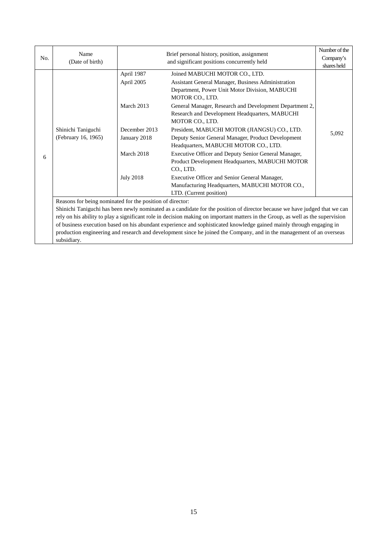|     | Name                                                                                                                            | Brief personal history, position, assignment<br>and significant positions concurrently held |                                                         | Number of the |  |  |
|-----|---------------------------------------------------------------------------------------------------------------------------------|---------------------------------------------------------------------------------------------|---------------------------------------------------------|---------------|--|--|
| No. | (Date of birth)                                                                                                                 |                                                                                             |                                                         | Company's     |  |  |
|     |                                                                                                                                 |                                                                                             |                                                         | shares held   |  |  |
|     |                                                                                                                                 | April 1987                                                                                  | Joined MABUCHI MOTOR CO., LTD.                          |               |  |  |
|     |                                                                                                                                 | April 2005                                                                                  | Assistant General Manager, Business Administration      |               |  |  |
|     |                                                                                                                                 |                                                                                             | Department, Power Unit Motor Division, MABUCHI          |               |  |  |
|     |                                                                                                                                 |                                                                                             | MOTOR CO., LTD.                                         |               |  |  |
|     |                                                                                                                                 | March 2013                                                                                  | General Manager, Research and Development Department 2, |               |  |  |
|     |                                                                                                                                 |                                                                                             | Research and Development Headquarters, MABUCHI          |               |  |  |
|     |                                                                                                                                 |                                                                                             | MOTOR CO., LTD.                                         |               |  |  |
|     | Shinichi Taniguchi                                                                                                              | December 2013                                                                               | President, MABUCHI MOTOR (JIANGSU) CO., LTD.            |               |  |  |
|     | (February 16, 1965)                                                                                                             | January 2018                                                                                | Deputy Senior General Manager, Product Development      | 5,092         |  |  |
|     |                                                                                                                                 |                                                                                             | Headquarters, MABUCHI MOTOR CO., LTD.                   |               |  |  |
|     |                                                                                                                                 | March 2018                                                                                  | Executive Officer and Deputy Senior General Manager,    |               |  |  |
| 6   |                                                                                                                                 |                                                                                             | Product Development Headquarters, MABUCHI MOTOR         |               |  |  |
|     |                                                                                                                                 |                                                                                             | CO., LTD.                                               |               |  |  |
|     |                                                                                                                                 | <b>July 2018</b>                                                                            | Executive Officer and Senior General Manager,           |               |  |  |
|     |                                                                                                                                 |                                                                                             | Manufacturing Headquarters, MABUCHI MOTOR CO.,          |               |  |  |
|     |                                                                                                                                 |                                                                                             | LTD. (Current position)                                 |               |  |  |
|     |                                                                                                                                 | Reasons for being nominated for the position of director:                                   |                                                         |               |  |  |
|     | Shinichi Taniguchi has been newly nominated as a candidate for the position of director because we have judged that we can      |                                                                                             |                                                         |               |  |  |
|     | rely on his ability to play a significant role in decision making on important matters in the Group, as well as the supervision |                                                                                             |                                                         |               |  |  |
|     | of business execution based on his abundant experience and sophisticated knowledge gained mainly through engaging in            |                                                                                             |                                                         |               |  |  |
|     | production engineering and research and development since he joined the Company, and in the management of an overseas           |                                                                                             |                                                         |               |  |  |
|     | subsidiary.                                                                                                                     |                                                                                             |                                                         |               |  |  |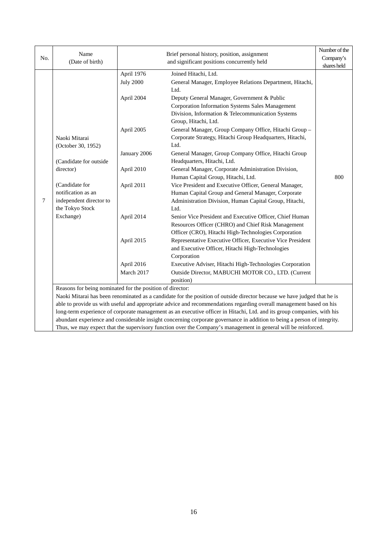|     | Name                                                                                                           | Brief personal history, position, assignment |                                                                                                                          | Number of the |
|-----|----------------------------------------------------------------------------------------------------------------|----------------------------------------------|--------------------------------------------------------------------------------------------------------------------------|---------------|
| No. | (Date of birth)                                                                                                |                                              | and significant positions concurrently held                                                                              | Company's     |
|     |                                                                                                                |                                              |                                                                                                                          | shares held   |
|     |                                                                                                                | April 1976                                   | Joined Hitachi, Ltd.                                                                                                     |               |
|     |                                                                                                                | <b>July 2000</b>                             | General Manager, Employee Relations Department, Hitachi,                                                                 |               |
|     |                                                                                                                |                                              | Ltd.                                                                                                                     |               |
|     |                                                                                                                | April 2004                                   | Deputy General Manager, Government & Public                                                                              |               |
|     |                                                                                                                |                                              | Corporation Information Systems Sales Management                                                                         |               |
|     |                                                                                                                |                                              | Division, Information & Telecommunication Systems                                                                        |               |
|     |                                                                                                                |                                              | Group, Hitachi, Ltd.                                                                                                     |               |
|     |                                                                                                                | April 2005                                   | General Manager, Group Company Office, Hitachi Group -                                                                   |               |
|     | Naoki Mitarai                                                                                                  |                                              | Corporate Strategy, Hitachi Group Headquarters, Hitachi,                                                                 |               |
|     | (October 30, 1952)                                                                                             |                                              | Ltd.                                                                                                                     |               |
|     |                                                                                                                | January 2006                                 | General Manager, Group Company Office, Hitachi Group                                                                     |               |
|     | (Candidate for outside                                                                                         |                                              | Headquarters, Hitachi, Ltd.                                                                                              |               |
|     | director)                                                                                                      | April 2010                                   | General Manager, Corporate Administration Division,                                                                      |               |
|     |                                                                                                                |                                              | Human Capital Group, Hitachi, Ltd.                                                                                       | 800           |
|     | (Candidate for                                                                                                 | April 2011                                   | Vice President and Executive Officer, General Manager,                                                                   |               |
|     | notification as an                                                                                             |                                              | Human Capital Group and General Manager, Corporate                                                                       |               |
| 7   | independent director to                                                                                        |                                              | Administration Division, Human Capital Group, Hitachi,                                                                   |               |
|     | the Tokyo Stock                                                                                                |                                              | Ltd.                                                                                                                     |               |
|     | Exchange)                                                                                                      | April 2014                                   | Senior Vice President and Executive Officer, Chief Human                                                                 |               |
|     |                                                                                                                |                                              | Resources Officer (CHRO) and Chief Risk Management                                                                       |               |
|     |                                                                                                                |                                              | Officer (CRO), Hitachi High-Technologies Corporation                                                                     |               |
|     |                                                                                                                | April 2015                                   | Representative Executive Officer, Executive Vice President                                                               |               |
|     |                                                                                                                |                                              | and Executive Officer, Hitachi High-Technologies                                                                         |               |
|     |                                                                                                                |                                              | Corporation                                                                                                              |               |
|     |                                                                                                                | April 2016                                   | Executive Adviser, Hitachi High-Technologies Corporation                                                                 |               |
|     |                                                                                                                | March 2017                                   | Outside Director, MABUCHI MOTOR CO., LTD. (Current                                                                       |               |
|     |                                                                                                                |                                              | position)                                                                                                                |               |
|     | Reasons for being nominated for the position of director:                                                      |                                              |                                                                                                                          |               |
|     |                                                                                                                |                                              | Naoki Mitarai has been renominated as a candidate for the position of outside director because we have judged that he is |               |
|     |                                                                                                                |                                              | able to provide us with useful and appropriate advice and recommendations regarding overall management based on his      |               |
|     |                                                                                                                |                                              | long-term experience of corporate management as an executive officer in Hitachi, Ltd. and its group companies, with his  |               |
|     |                                                                                                                |                                              | abundant experience and considerable insight concerning corporate governance in addition to being a person of integrity. |               |
|     | Thus, we may expect that the supervisory function over the Company's management in general will be reinforced. |                                              |                                                                                                                          |               |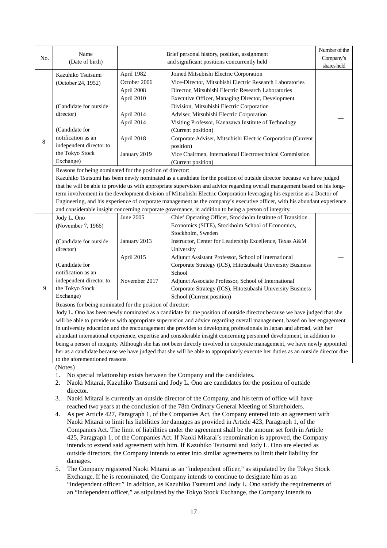| No.<br>Company's<br>(Date of birth)<br>and significant positions concurrently held<br>shares held<br>April 1982<br>Joined Mitsubishi Electric Corporation<br>Kazuhiko Tsutsumi<br>October 2006<br>Vice-Director, Mitsubishi Electric Research Laboratories<br>(October 24, 1952)<br>April 2008<br>Director, Mitsubishi Electric Research Laboratories<br>April 2010<br>Executive Officer, Managing Director, Development<br>(Candidate for outside<br>Division, Mitsubishi Electric Corporation<br>director)<br>April 2014<br>Adviser, Mitsubishi Electric Corporation<br>April 2014<br>Visiting Professor, Kanazawa Institute of Technology<br>(Candidate for<br>(Current position)<br>notification as an<br>April 2018<br>Corporate Adviser, Mitsubishi Electric Corporation (Current<br>8 |  | Name                                                                                                                     | Brief personal history, position, assignment |           | Number of the |  |  |
|----------------------------------------------------------------------------------------------------------------------------------------------------------------------------------------------------------------------------------------------------------------------------------------------------------------------------------------------------------------------------------------------------------------------------------------------------------------------------------------------------------------------------------------------------------------------------------------------------------------------------------------------------------------------------------------------------------------------------------------------------------------------------------------------|--|--------------------------------------------------------------------------------------------------------------------------|----------------------------------------------|-----------|---------------|--|--|
|                                                                                                                                                                                                                                                                                                                                                                                                                                                                                                                                                                                                                                                                                                                                                                                              |  |                                                                                                                          |                                              |           |               |  |  |
|                                                                                                                                                                                                                                                                                                                                                                                                                                                                                                                                                                                                                                                                                                                                                                                              |  |                                                                                                                          |                                              |           |               |  |  |
|                                                                                                                                                                                                                                                                                                                                                                                                                                                                                                                                                                                                                                                                                                                                                                                              |  |                                                                                                                          |                                              |           |               |  |  |
|                                                                                                                                                                                                                                                                                                                                                                                                                                                                                                                                                                                                                                                                                                                                                                                              |  |                                                                                                                          |                                              |           |               |  |  |
|                                                                                                                                                                                                                                                                                                                                                                                                                                                                                                                                                                                                                                                                                                                                                                                              |  |                                                                                                                          |                                              |           |               |  |  |
|                                                                                                                                                                                                                                                                                                                                                                                                                                                                                                                                                                                                                                                                                                                                                                                              |  |                                                                                                                          |                                              |           |               |  |  |
|                                                                                                                                                                                                                                                                                                                                                                                                                                                                                                                                                                                                                                                                                                                                                                                              |  |                                                                                                                          |                                              |           |               |  |  |
|                                                                                                                                                                                                                                                                                                                                                                                                                                                                                                                                                                                                                                                                                                                                                                                              |  |                                                                                                                          |                                              |           |               |  |  |
|                                                                                                                                                                                                                                                                                                                                                                                                                                                                                                                                                                                                                                                                                                                                                                                              |  |                                                                                                                          |                                              |           |               |  |  |
|                                                                                                                                                                                                                                                                                                                                                                                                                                                                                                                                                                                                                                                                                                                                                                                              |  |                                                                                                                          |                                              |           |               |  |  |
|                                                                                                                                                                                                                                                                                                                                                                                                                                                                                                                                                                                                                                                                                                                                                                                              |  |                                                                                                                          |                                              |           |               |  |  |
|                                                                                                                                                                                                                                                                                                                                                                                                                                                                                                                                                                                                                                                                                                                                                                                              |  | independent director to                                                                                                  |                                              | position) |               |  |  |
| the Tokyo Stock<br>January 2019<br>Vice Chairmen, International Electrotechnical Commission                                                                                                                                                                                                                                                                                                                                                                                                                                                                                                                                                                                                                                                                                                  |  |                                                                                                                          |                                              |           |               |  |  |
| Exchange)<br>(Current position)                                                                                                                                                                                                                                                                                                                                                                                                                                                                                                                                                                                                                                                                                                                                                              |  |                                                                                                                          |                                              |           |               |  |  |
| Reasons for being nominated for the position of director:                                                                                                                                                                                                                                                                                                                                                                                                                                                                                                                                                                                                                                                                                                                                    |  |                                                                                                                          |                                              |           |               |  |  |
| Kazuhiko Tsutsumi has been newly nominated as a candidate for the position of outside director because we have judged                                                                                                                                                                                                                                                                                                                                                                                                                                                                                                                                                                                                                                                                        |  |                                                                                                                          |                                              |           |               |  |  |
| that he will be able to provide us with appropriate supervision and advice regarding overall management based on his long-                                                                                                                                                                                                                                                                                                                                                                                                                                                                                                                                                                                                                                                                   |  |                                                                                                                          |                                              |           |               |  |  |
| term involvement in the development division of Mitsubishi Electric Corporation leveraging his expertise as a Doctor of                                                                                                                                                                                                                                                                                                                                                                                                                                                                                                                                                                                                                                                                      |  |                                                                                                                          |                                              |           |               |  |  |
|                                                                                                                                                                                                                                                                                                                                                                                                                                                                                                                                                                                                                                                                                                                                                                                              |  | Engineering, and his experience of corporate management as the company's executive officer, with his abundant experience |                                              |           |               |  |  |
| and considerable insight concerning corporate governance, in addition to being a person of integrity.                                                                                                                                                                                                                                                                                                                                                                                                                                                                                                                                                                                                                                                                                        |  |                                                                                                                          |                                              |           |               |  |  |
| June 2005<br>Chief Operating Officer, Stockholm Institute of Transition<br>Jody L. Ono                                                                                                                                                                                                                                                                                                                                                                                                                                                                                                                                                                                                                                                                                                       |  |                                                                                                                          |                                              |           |               |  |  |
| Economics (SITE), Stockholm School of Economics,<br>(November 7, 1966)                                                                                                                                                                                                                                                                                                                                                                                                                                                                                                                                                                                                                                                                                                                       |  |                                                                                                                          |                                              |           |               |  |  |
| Stockholm, Sweden                                                                                                                                                                                                                                                                                                                                                                                                                                                                                                                                                                                                                                                                                                                                                                            |  |                                                                                                                          |                                              |           |               |  |  |
| (Candidate for outside)<br>January 2013<br>Instructor, Center for Leadership Excellence, Texas A&M                                                                                                                                                                                                                                                                                                                                                                                                                                                                                                                                                                                                                                                                                           |  |                                                                                                                          |                                              |           |               |  |  |
| director)<br>University                                                                                                                                                                                                                                                                                                                                                                                                                                                                                                                                                                                                                                                                                                                                                                      |  |                                                                                                                          |                                              |           |               |  |  |
| April 2015<br>Adjunct Assistant Professor, School of International                                                                                                                                                                                                                                                                                                                                                                                                                                                                                                                                                                                                                                                                                                                           |  |                                                                                                                          |                                              |           |               |  |  |
| (Candidate for<br>Corporate Strategy (ICS), Hitotsubashi University Business<br>notification as an                                                                                                                                                                                                                                                                                                                                                                                                                                                                                                                                                                                                                                                                                           |  |                                                                                                                          |                                              |           |               |  |  |
| School<br>independent director to                                                                                                                                                                                                                                                                                                                                                                                                                                                                                                                                                                                                                                                                                                                                                            |  |                                                                                                                          |                                              |           |               |  |  |
| November 2017<br>Adjunct Associate Professor, School of International<br>9<br>the Tokyo Stock                                                                                                                                                                                                                                                                                                                                                                                                                                                                                                                                                                                                                                                                                                |  |                                                                                                                          |                                              |           |               |  |  |
| Corporate Strategy (ICS), Hitotsubashi University Business<br>Exchange)                                                                                                                                                                                                                                                                                                                                                                                                                                                                                                                                                                                                                                                                                                                      |  |                                                                                                                          |                                              |           |               |  |  |
| School (Current position)                                                                                                                                                                                                                                                                                                                                                                                                                                                                                                                                                                                                                                                                                                                                                                    |  |                                                                                                                          |                                              |           |               |  |  |
|                                                                                                                                                                                                                                                                                                                                                                                                                                                                                                                                                                                                                                                                                                                                                                                              |  | Reasons for being nominated for the position of director:                                                                |                                              |           |               |  |  |
| Jody L. Ono has been newly nominated as a candidate for the position of outside director because we have judged that she<br>will be able to provide us with appropriate supervision and advice regarding overall management, based on her engagement                                                                                                                                                                                                                                                                                                                                                                                                                                                                                                                                         |  |                                                                                                                          |                                              |           |               |  |  |
| in university education and the encouragement she provides to developing professionals in Japan and abroad, with her                                                                                                                                                                                                                                                                                                                                                                                                                                                                                                                                                                                                                                                                         |  |                                                                                                                          |                                              |           |               |  |  |
| abundant international experience, expertise and considerable insight concerning personnel development, in addition to                                                                                                                                                                                                                                                                                                                                                                                                                                                                                                                                                                                                                                                                       |  |                                                                                                                          |                                              |           |               |  |  |
| being a person of integrity. Although she has not been directly involved in corporate management, we have newly appointed                                                                                                                                                                                                                                                                                                                                                                                                                                                                                                                                                                                                                                                                    |  |                                                                                                                          |                                              |           |               |  |  |
| her as a candidate because we have judged that she will be able to appropriately execute her duties as an outside director due                                                                                                                                                                                                                                                                                                                                                                                                                                                                                                                                                                                                                                                               |  |                                                                                                                          |                                              |           |               |  |  |
| to the aforementioned reasons.                                                                                                                                                                                                                                                                                                                                                                                                                                                                                                                                                                                                                                                                                                                                                               |  |                                                                                                                          |                                              |           |               |  |  |
| (Notes)                                                                                                                                                                                                                                                                                                                                                                                                                                                                                                                                                                                                                                                                                                                                                                                      |  |                                                                                                                          |                                              |           |               |  |  |

- 1. No special relationship exists between the Company and the candidates.
- 2. Naoki Mitarai, Kazuhiko Tsutsumi and Jody L. Ono are candidates for the position of outside director.
- 3. Naoki Mitarai is currently an outside director of the Company, and his term of office will have reached two years at the conclusion of the 78th Ordinary General Meeting of Shareholders.
- 4. As per Article 427, Paragraph 1, of the Companies Act, the Company entered into an agreement with Naoki Mitarai to limit his liabilities for damages as provided in Article 423, Paragraph 1, of the Companies Act. The limit of liabilities under the agreement shall be the amount set forth in Article 425, Paragraph 1, of the Companies Act. If Naoki Mitarai's renomination is approved, the Company intends to extend said agreement with him. If Kazuhiko Tsutsumi and Jody L. Ono are elected as outside directors, the Company intends to enter into similar agreements to limit their liability for damages.
- 5. The Company registered Naoki Mitarai as an "independent officer," as stipulated by the Tokyo Stock Exchange. If he is renominated, the Company intends to continue to designate him as an "independent officer." In addition, as Kazuhiko Tsutsumi and Jody L. Ono satisfy the requirements of an "independent officer," as stipulated by the Tokyo Stock Exchange, the Company intends to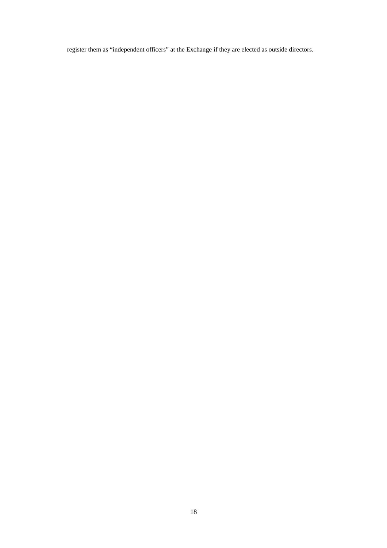register them as "independent officers" at the Exchange if they are elected as outside directors.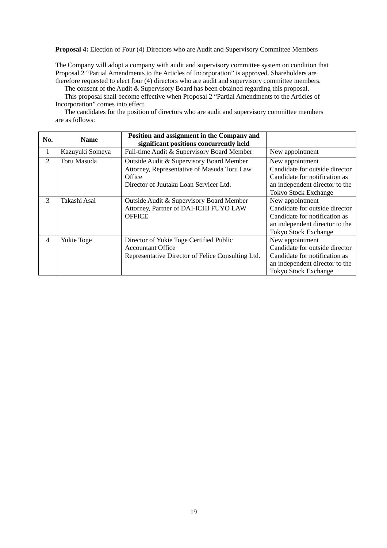**Proposal 4:** Election of Four (4) Directors who are Audit and Supervisory Committee Members

The Company will adopt a company with audit and supervisory committee system on condition that Proposal 2 "Partial Amendments to the Articles of Incorporation" is approved. Shareholders are therefore requested to elect four (4) directors who are audit and supervisory committee members.

The consent of the Audit & Supervisory Board has been obtained regarding this proposal. This proposal shall become effective when Proposal 2 "Partial Amendments to the Articles of

Incorporation" comes into effect.

The candidates for the position of directors who are audit and supervisory committee members are as follows:

| No.            | <b>Name</b>     | Position and assignment in the Company and<br>significant positions concurrently held                                                       |                                                                                                                                                     |
|----------------|-----------------|---------------------------------------------------------------------------------------------------------------------------------------------|-----------------------------------------------------------------------------------------------------------------------------------------------------|
| 1              | Kazuyuki Someya | Full-time Audit & Supervisory Board Member                                                                                                  | New appointment                                                                                                                                     |
| 2              | Toru Masuda     | Outside Audit & Supervisory Board Member<br>Attorney, Representative of Masuda Toru Law<br>Office<br>Director of Juutaku Loan Servicer Ltd. | New appointment<br>Candidate for outside director<br>Candidate for notification as<br>an independent director to the<br><b>Tokyo Stock Exchange</b> |
| 3              | Takashi Asai    | Outside Audit & Supervisory Board Member<br>Attorney, Partner of DAI-ICHI FUYO LAW<br><b>OFFICE</b>                                         | New appointment<br>Candidate for outside director<br>Candidate for notification as<br>an independent director to the<br><b>Tokyo Stock Exchange</b> |
| $\overline{4}$ | Yukie Toge      | Director of Yukie Toge Certified Public<br><b>Accountant Office</b><br>Representative Director of Felice Consulting Ltd.                    | New appointment<br>Candidate for outside director<br>Candidate for notification as<br>an independent director to the<br><b>Tokyo Stock Exchange</b> |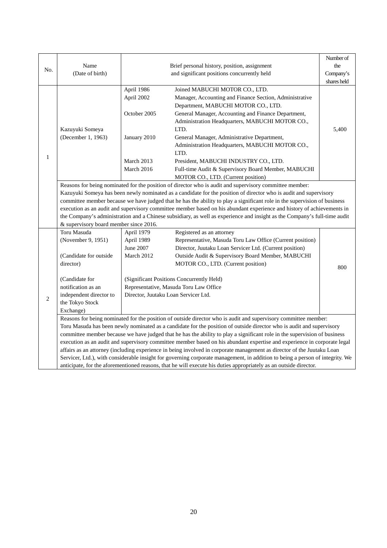|                |                                                                                                                           |                                                                                                                        |                                                                                                                               | Number of   |  |  |
|----------------|---------------------------------------------------------------------------------------------------------------------------|------------------------------------------------------------------------------------------------------------------------|-------------------------------------------------------------------------------------------------------------------------------|-------------|--|--|
|                | Name<br>Brief personal history, position, assignment                                                                      |                                                                                                                        | the                                                                                                                           |             |  |  |
| No.            | (Date of birth)                                                                                                           | and significant positions concurrently held                                                                            |                                                                                                                               |             |  |  |
|                |                                                                                                                           |                                                                                                                        |                                                                                                                               | shares held |  |  |
|                |                                                                                                                           | April 1986                                                                                                             | Joined MABUCHI MOTOR CO., LTD.                                                                                                |             |  |  |
|                |                                                                                                                           | April 2002                                                                                                             | Manager, Accounting and Finance Section, Administrative                                                                       |             |  |  |
|                |                                                                                                                           |                                                                                                                        | Department, MABUCHI MOTOR CO., LTD.                                                                                           |             |  |  |
|                |                                                                                                                           | October 2005                                                                                                           | General Manager, Accounting and Finance Department,                                                                           |             |  |  |
|                |                                                                                                                           |                                                                                                                        | Administration Headquarters, MABUCHI MOTOR CO.,                                                                               |             |  |  |
|                | Kazuyuki Someya                                                                                                           |                                                                                                                        | LTD.                                                                                                                          | 5,400       |  |  |
|                | (December 1, 1963)                                                                                                        | January 2010                                                                                                           | General Manager, Administrative Department,                                                                                   |             |  |  |
|                |                                                                                                                           |                                                                                                                        | Administration Headquarters, MABUCHI MOTOR CO.,                                                                               |             |  |  |
|                |                                                                                                                           |                                                                                                                        | LTD.                                                                                                                          |             |  |  |
| $\mathbf{1}$   |                                                                                                                           | March 2013                                                                                                             | President, MABUCHI INDUSTRY CO., LTD.                                                                                         |             |  |  |
|                |                                                                                                                           | March 2016                                                                                                             | Full-time Audit & Supervisory Board Member, MABUCHI                                                                           |             |  |  |
|                | MOTOR CO., LTD. (Current position)                                                                                        |                                                                                                                        |                                                                                                                               |             |  |  |
|                | Reasons for being nominated for the position of director who is audit and supervisory committee member:                   |                                                                                                                        |                                                                                                                               |             |  |  |
|                | Kazuyuki Someya has been newly nominated as a candidate for the position of director who is audit and supervisory         |                                                                                                                        |                                                                                                                               |             |  |  |
|                |                                                                                                                           |                                                                                                                        | committee member because we have judged that he has the ability to play a significant role in the supervision of business     |             |  |  |
|                |                                                                                                                           | execution as an audit and supervisory committee member based on his abundant experience and history of achievements in |                                                                                                                               |             |  |  |
|                | the Company's administration and a Chinese subsidiary, as well as experience and insight as the Company's full-time audit |                                                                                                                        |                                                                                                                               |             |  |  |
|                | & supervisory board member since 2016.                                                                                    |                                                                                                                        |                                                                                                                               |             |  |  |
|                | Toru Masuda                                                                                                               | April 1979                                                                                                             | Registered as an attorney                                                                                                     |             |  |  |
|                | (November 9, 1951)                                                                                                        | April 1989                                                                                                             | Representative, Masuda Toru Law Office (Current position)                                                                     |             |  |  |
|                |                                                                                                                           | June 2007                                                                                                              | Director, Juutaku Loan Servicer Ltd. (Current position)                                                                       |             |  |  |
|                | (Candidate for outside                                                                                                    | March 2012                                                                                                             | Outside Audit & Supervisory Board Member, MABUCHI                                                                             |             |  |  |
|                | director)                                                                                                                 |                                                                                                                        | MOTOR CO., LTD. (Current position)                                                                                            |             |  |  |
|                |                                                                                                                           |                                                                                                                        |                                                                                                                               | 800         |  |  |
|                | (Candidate for                                                                                                            |                                                                                                                        | (Significant Positions Concurrently Held)                                                                                     |             |  |  |
|                | notification as an                                                                                                        |                                                                                                                        | Representative, Masuda Toru Law Office                                                                                        |             |  |  |
|                | independent director to                                                                                                   |                                                                                                                        | Director, Juutaku Loan Servicer Ltd.                                                                                          |             |  |  |
| $\mathfrak{2}$ | the Tokyo Stock                                                                                                           |                                                                                                                        |                                                                                                                               |             |  |  |
|                | Exchange)                                                                                                                 |                                                                                                                        |                                                                                                                               |             |  |  |
|                | Reasons for being nominated for the position of outside director who is audit and supervisory committee member:           |                                                                                                                        |                                                                                                                               |             |  |  |
|                | Toru Masuda has been newly nominated as a candidate for the position of outside director who is audit and supervisory     |                                                                                                                        |                                                                                                                               |             |  |  |
|                |                                                                                                                           |                                                                                                                        | committee member because we have judged that he has the ability to play a significant role in the supervision of business     |             |  |  |
|                |                                                                                                                           |                                                                                                                        | execution as an audit and supervisory committee member based on his abundant expertise and experience in corporate legal      |             |  |  |
|                |                                                                                                                           |                                                                                                                        | affairs as an attorney (including experience in being involved in corporate management as director of the Juutaku Loan        |             |  |  |
|                |                                                                                                                           |                                                                                                                        | Servicer, Ltd.), with considerable insight for governing corporate management, in addition to being a person of integrity. We |             |  |  |
|                |                                                                                                                           |                                                                                                                        | anticipate, for the aforementioned reasons, that he will execute his duties appropriately as an outside director.             |             |  |  |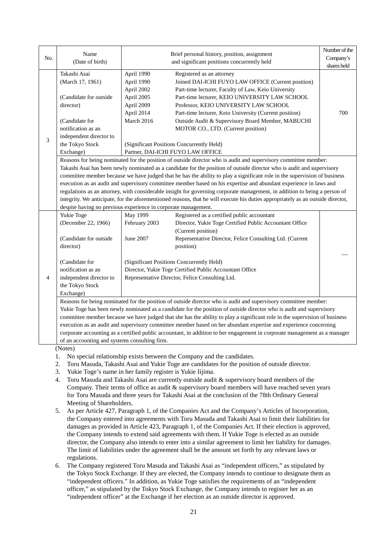|                | Name                                                                                                                            | Brief personal history, position, assignment |                                                                                                                            | Number of the |  |  |  |
|----------------|---------------------------------------------------------------------------------------------------------------------------------|----------------------------------------------|----------------------------------------------------------------------------------------------------------------------------|---------------|--|--|--|
| No.            | (Date of birth)                                                                                                                 |                                              | and significant positions concurrently held                                                                                | Company's     |  |  |  |
|                |                                                                                                                                 |                                              |                                                                                                                            | shares held   |  |  |  |
|                | Takashi Asai                                                                                                                    | April 1990                                   | Registered as an attorney                                                                                                  |               |  |  |  |
|                | (March 17, 1961)                                                                                                                | April 1990                                   | Joined DAI-ICHI FUYO LAW OFFICE (Current position)                                                                         |               |  |  |  |
|                |                                                                                                                                 | April 2002                                   | Part-time lecturer, Faculty of Law, Keio University                                                                        |               |  |  |  |
|                | (Candidate for outside                                                                                                          | April 2005                                   | Part-time lecturer, KEIO UNIVERSITY LAW SCHOOL                                                                             |               |  |  |  |
|                | director)                                                                                                                       | April 2009                                   | Professor, KEIO UNIVERSITY LAW SCHOOL                                                                                      |               |  |  |  |
|                |                                                                                                                                 | April 2014                                   | Part-time lecturer, Keio University (Current position)                                                                     | 700           |  |  |  |
|                | (Candidate for                                                                                                                  | March 2016                                   | Outside Audit & Supervisory Board Member, MABUCHI                                                                          |               |  |  |  |
|                | notification as an                                                                                                              |                                              | MOTOR CO., LTD. (Current position)                                                                                         |               |  |  |  |
| $\mathfrak{Z}$ | independent director to                                                                                                         |                                              |                                                                                                                            |               |  |  |  |
|                | the Tokyo Stock                                                                                                                 |                                              | (Significant Positions Concurrently Held)                                                                                  |               |  |  |  |
|                | Exchange)                                                                                                                       |                                              | Partner, DAI-ICHI FUYO LAW OFFICE                                                                                          |               |  |  |  |
|                |                                                                                                                                 |                                              | Reasons for being nominated for the position of outside director who is audit and supervisory committee member:            |               |  |  |  |
|                |                                                                                                                                 |                                              | Takashi Asai has been newly nominated as a candidate for the position of outside director who is audit and supervisory     |               |  |  |  |
|                | committee member because we have judged that he has the ability to play a significant role in the supervision of business       |                                              |                                                                                                                            |               |  |  |  |
|                | execution as an audit and supervisory committee member based on his expertise and abundant experience in laws and               |                                              |                                                                                                                            |               |  |  |  |
|                | regulations as an attorney, with considerable insight for governing corporate management, in addition to being a person of      |                                              |                                                                                                                            |               |  |  |  |
|                | integrity. We anticipate, for the aforementioned reasons, that he will execute his duties appropriately as an outside director, |                                              |                                                                                                                            |               |  |  |  |
|                | despite having no previous experience in corporate management.                                                                  |                                              |                                                                                                                            |               |  |  |  |
|                | Yukie Toge                                                                                                                      | May 1999                                     | Registered as a certified public accountant                                                                                |               |  |  |  |
|                | (December 22, 1966)                                                                                                             | February 2003                                | Director, Yukie Toge Certified Public Accountant Office                                                                    |               |  |  |  |
|                |                                                                                                                                 |                                              | (Current position)                                                                                                         |               |  |  |  |
|                | (Candidate for outside                                                                                                          | June 2007                                    | Representative Director, Felice Consulting Ltd. (Current                                                                   |               |  |  |  |
|                | director)                                                                                                                       |                                              | position)                                                                                                                  |               |  |  |  |
|                |                                                                                                                                 |                                              |                                                                                                                            |               |  |  |  |
|                | (Candidate for                                                                                                                  |                                              | (Significant Positions Concurrently Held)                                                                                  |               |  |  |  |
|                | notification as an                                                                                                              |                                              | Director, Yukie Toge Certified Public Accountant Office                                                                    |               |  |  |  |
| $\overline{4}$ | independent director to                                                                                                         |                                              | Representative Director, Felice Consulting Ltd.                                                                            |               |  |  |  |
|                | the Tokyo Stock                                                                                                                 |                                              |                                                                                                                            |               |  |  |  |
|                | Exchange)                                                                                                                       |                                              |                                                                                                                            |               |  |  |  |
|                | Reasons for being nominated for the position of outside director who is audit and supervisory committee member:                 |                                              |                                                                                                                            |               |  |  |  |
|                |                                                                                                                                 |                                              | Yukie Toge has been newly nominated as a candidate for the position of outside director who is audit and supervisory       |               |  |  |  |
|                |                                                                                                                                 |                                              | committee member because we have judged that she has the ability to play a significant role in the supervision of business |               |  |  |  |
|                |                                                                                                                                 |                                              | execution as an audit and supervisory committee member based on her abundant expertise and experience concerning           |               |  |  |  |
|                |                                                                                                                                 |                                              | corporate accounting as a certified public accountant, in addition to her engagement in corporate management as a manager  |               |  |  |  |
|                | of an accounting and systems consulting firm.                                                                                   |                                              |                                                                                                                            |               |  |  |  |
|                | (Notes)                                                                                                                         |                                              |                                                                                                                            |               |  |  |  |

- 1. No special relationship exists between the Company and the candidates.
- 2. Toru Masuda, Takashi Asai and Yukie Toge are candidates for the position of outside director.
- 3. Yukie Toge's name in her family register is Yukie Iijima.
- 4. Toru Masuda and Takashi Asai are currently outside audit & supervisory board members of the Company. Their terms of office as audit & supervisory board members will have reached seven years for Toru Masuda and three years for Takashi Asai at the conclusion of the 78th Ordinary General Meeting of Shareholders.
- 5. As per Article 427, Paragraph 1, of the Companies Act and the Company's Articles of Incorporation, the Company entered into agreements with Toru Masuda and Takashi Asai to limit their liabilities for damages as provided in Article 423, Paragraph 1, of the Companies Act. If their election is approved, the Company intends to extend said agreements with them. If Yukie Toge is elected as an outside director, the Company also intends to enter into a similar agreement to limit her liability for damages. The limit of liabilities under the agreement shall be the amount set forth by any relevant laws or regulations.
- 6. The Company registered Toru Masuda and Takashi Asai as "independent officers," as stipulated by the Tokyo Stock Exchange. If they are elected, the Company intends to continue to designate them as "independent officers." In addition, as Yukie Toge satisfies the requirements of an "independent officer," as stipulated by the Tokyo Stock Exchange, the Company intends to register her as an "independent officer" at the Exchange if her election as an outside director is approved.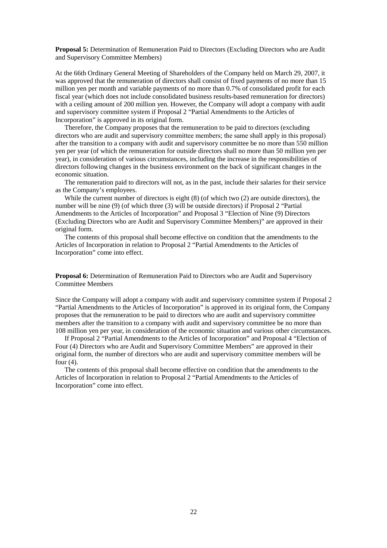**Proposal 5:** Determination of Remuneration Paid to Directors (Excluding Directors who are Audit and Supervisory Committee Members)

At the 66th Ordinary General Meeting of Shareholders of the Company held on March 29, 2007, it was approved that the remuneration of directors shall consist of fixed payments of no more than 15 million yen per month and variable payments of no more than 0.7% of consolidated profit for each fiscal year (which does not include consolidated business results-based remuneration for directors) with a ceiling amount of 200 million yen. However, the Company will adopt a company with audit and supervisory committee system if Proposal 2 "Partial Amendments to the Articles of Incorporation" is approved in its original form.

Therefore, the Company proposes that the remuneration to be paid to directors (excluding directors who are audit and supervisory committee members; the same shall apply in this proposal) after the transition to a company with audit and supervisory committee be no more than 550 million yen per year (of which the remuneration for outside directors shall no more than 50 million yen per year), in consideration of various circumstances, including the increase in the responsibilities of directors following changes in the business environment on the back of significant changes in the economic situation.

The remuneration paid to directors will not, as in the past, include their salaries for their service as the Company's employees.

While the current number of directors is eight (8) (of which two (2) are outside directors), the number will be nine (9) (of which three (3) will be outside directors) if Proposal 2 "Partial Amendments to the Articles of Incorporation" and Proposal 3 "Election of Nine (9) Directors (Excluding Directors who are Audit and Supervisory Committee Members)" are approved in their original form.

The contents of this proposal shall become effective on condition that the amendments to the Articles of Incorporation in relation to Proposal 2 "Partial Amendments to the Articles of Incorporation" come into effect.

**Proposal 6:** Determination of Remuneration Paid to Directors who are Audit and Supervisory Committee Members

Since the Company will adopt a company with audit and supervisory committee system if Proposal 2 "Partial Amendments to the Articles of Incorporation" is approved in its original form, the Company proposes that the remuneration to be paid to directors who are audit and supervisory committee members after the transition to a company with audit and supervisory committee be no more than 108 million yen per year, in consideration of the economic situation and various other circumstances.

If Proposal 2 "Partial Amendments to the Articles of Incorporation" and Proposal 4 "Election of Four (4) Directors who are Audit and Supervisory Committee Members" are approved in their original form, the number of directors who are audit and supervisory committee members will be four  $(4)$ .

The contents of this proposal shall become effective on condition that the amendments to the Articles of Incorporation in relation to Proposal 2 "Partial Amendments to the Articles of Incorporation" come into effect.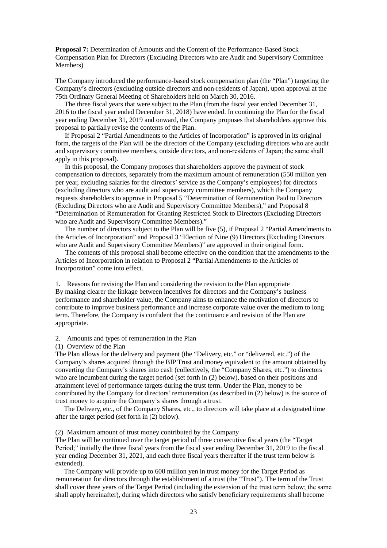**Proposal 7:** Determination of Amounts and the Content of the Performance-Based Stock Compensation Plan for Directors (Excluding Directors who are Audit and Supervisory Committee Members)

The Company introduced the performance-based stock compensation plan (the "Plan") targeting the Company's directors (excluding outside directors and non-residents of Japan), upon approval at the 75th Ordinary General Meeting of Shareholders held on March 30, 2016.

The three fiscal years that were subject to the Plan (from the fiscal year ended December 31, 2016 to the fiscal year ended December 31, 2018) have ended. In continuing the Plan for the fiscal year ending December 31, 2019 and onward, the Company proposes that shareholders approve this proposal to partially revise the contents of the Plan.

If Proposal 2 "Partial Amendments to the Articles of Incorporation" is approved in its original form, the targets of the Plan will be the directors of the Company (excluding directors who are audit and supervisory committee members, outside directors, and non-residents of Japan; the same shall apply in this proposal).

In this proposal, the Company proposes that shareholders approve the payment of stock compensation to directors, separately from the maximum amount of remuneration (550 million yen per year, excluding salaries for the directors' service as the Company's employees) for directors (excluding directors who are audit and supervisory committee members), which the Company requests shareholders to approve in Proposal 5 "Determination of Remuneration Paid to Directors (Excluding Directors who are Audit and Supervisory Committee Members)," and Proposal 8 "Determination of Remuneration for Granting Restricted Stock to Directors (Excluding Directors who are Audit and Supervisory Committee Members)."

The number of directors subject to the Plan will be five (5), if Proposal 2 "Partial Amendments to the Articles of Incorporation" and Proposal 3 "Election of Nine (9) Directors (Excluding Directors who are Audit and Supervisory Committee Members)" are approved in their original form.

The contents of this proposal shall become effective on the condition that the amendments to the Articles of Incorporation in relation to Proposal 2 "Partial Amendments to the Articles of Incorporation" come into effect.

1. Reasons for revising the Plan and considering the revision to the Plan appropriate By making clearer the linkage between incentives for directors and the Company's business performance and shareholder value, the Company aims to enhance the motivation of directors to contribute to improve business performance and increase corporate value over the medium to long term. Therefore, the Company is confident that the continuance and revision of the Plan are appropriate.

2. Amounts and types of remuneration in the Plan

(1) Overview of the Plan

The Plan allows for the delivery and payment (the "Delivery, etc." or "delivered, etc.") of the Company's shares acquired through the BIP Trust and money equivalent to the amount obtained by converting the Company's shares into cash (collectively, the "Company Shares, etc.") to directors who are incumbent during the target period (set forth in (2) below), based on their positions and attainment level of performance targets during the trust term. Under the Plan, money to be contributed by the Company for directors' remuneration (as described in (2) below) is the source of trust money to acquire the Company's shares through a trust.

The Delivery, etc., of the Company Shares, etc., to directors will take place at a designated time after the target period (set forth in (2) below).

(2) Maximum amount of trust money contributed by the Company

The Plan will be continued over the target period of three consecutive fiscal years (the "Target Period;" initially the three fiscal years from the fiscal year ending December 31, 2019 to the fiscal year ending December 31, 2021, and each three fiscal years thereafter if the trust term below is extended).

The Company will provide up to 600 million yen in trust money for the Target Period as remuneration for directors through the establishment of a trust (the "Trust"). The term of the Trust shall cover three years of the Target Period (including the extension of the trust term below; the same shall apply hereinafter), during which directors who satisfy beneficiary requirements shall become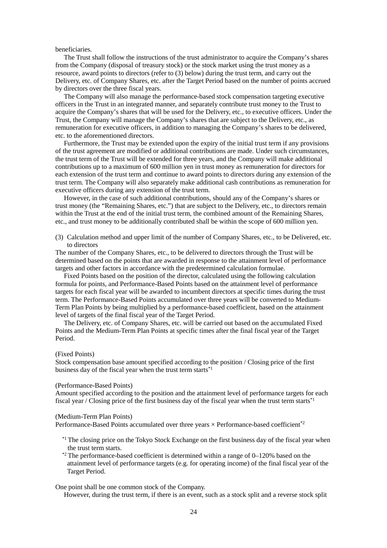beneficiaries.

The Trust shall follow the instructions of the trust administrator to acquire the Company's shares from the Company (disposal of treasury stock) or the stock market using the trust money as a resource, award points to directors (refer to (3) below) during the trust term, and carry out the Delivery, etc. of Company Shares, etc. after the Target Period based on the number of points accrued by directors over the three fiscal years.

The Company will also manage the performance-based stock compensation targeting executive officers in the Trust in an integrated manner, and separately contribute trust money to the Trust to acquire the Company's shares that will be used for the Delivery, etc., to executive officers. Under the Trust, the Company will manage the Company's shares that are subject to the Delivery, etc., as remuneration for executive officers, in addition to managing the Company's shares to be delivered, etc. to the aforementioned directors.

Furthermore, the Trust may be extended upon the expiry of the initial trust term if any provisions of the trust agreement are modified or additional contributions are made. Under such circumstances, the trust term of the Trust will be extended for three years, and the Company will make additional contributions up to a maximum of 600 million yen in trust money as remuneration for directors for each extension of the trust term and continue to award points to directors during any extension of the trust term. The Company will also separately make additional cash contributions as remuneration for executive officers during any extension of the trust term.

However, in the case of such additional contributions, should any of the Company's shares or trust money (the "Remaining Shares, etc.") that are subject to the Delivery, etc., to directors remain within the Trust at the end of the initial trust term, the combined amount of the Remaining Shares, etc., and trust money to be additionally contributed shall be within the scope of 600 million yen.

(3) Calculation method and upper limit of the number of Company Shares, etc., to be Delivered, etc. to directors

The number of the Company Shares, etc., to be delivered to directors through the Trust will be determined based on the points that are awarded in response to the attainment level of performance targets and other factors in accordance with the predetermined calculation formulae.

Fixed Points based on the position of the director, calculated using the following calculation formula for points, and Performance-Based Points based on the attainment level of performance targets for each fiscal year will be awarded to incumbent directors at specific times during the trust term. The Performance-Based Points accumulated over three years will be converted to Medium-Term Plan Points by being multiplied by a performance-based coefficient, based on the attainment level of targets of the final fiscal year of the Target Period.

The Delivery, etc. of Company Shares, etc. will be carried out based on the accumulated Fixed Points and the Medium-Term Plan Points at specific times after the final fiscal year of the Target Period.

#### (Fixed Points)

Stock compensation base amount specified according to the position / Closing price of the first business day of the fiscal year when the trust term starts $*1$ 

#### (Performance-Based Points)

Amount specified according to the position and the attainment level of performance targets for each fiscal year / Closing price of the first business day of the fiscal year when the trust term starts $^{*1}$ 

#### (Medium-Term Plan Points)

Performance-Based Points accumulated over three years  $\times$  Performance-based coefficient<sup>\*2</sup>

- <sup>\*1</sup> The closing price on the Tokyo Stock Exchange on the first business day of the fiscal year when the trust term starts.
- $*$ <sup>2</sup> The performance-based coefficient is determined within a range of 0–120% based on the attainment level of performance targets (e.g. for operating income) of the final fiscal year of the Target Period.

One point shall be one common stock of the Company.

However, during the trust term, if there is an event, such as a stock split and a reverse stock split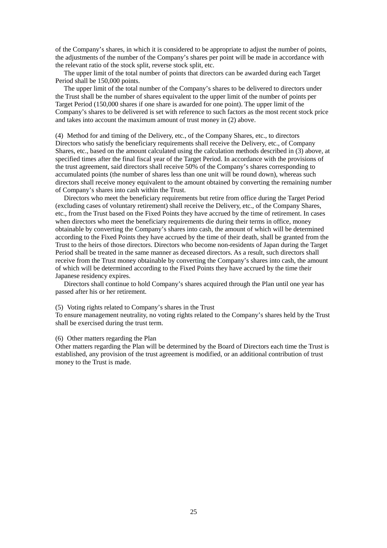of the Company's shares, in which it is considered to be appropriate to adjust the number of points, the adjustments of the number of the Company's shares per point will be made in accordance with the relevant ratio of the stock split, reverse stock split, etc.

The upper limit of the total number of points that directors can be awarded during each Target Period shall be 150,000 points.

The upper limit of the total number of the Company's shares to be delivered to directors under the Trust shall be the number of shares equivalent to the upper limit of the number of points per Target Period (150,000 shares if one share is awarded for one point). The upper limit of the Company's shares to be delivered is set with reference to such factors as the most recent stock price and takes into account the maximum amount of trust money in (2) above.

(4) Method for and timing of the Delivery, etc., of the Company Shares, etc., to directors Directors who satisfy the beneficiary requirements shall receive the Delivery, etc., of Company Shares, etc., based on the amount calculated using the calculation methods described in (3) above, at specified times after the final fiscal year of the Target Period. In accordance with the provisions of the trust agreement, said directors shall receive 50% of the Company's shares corresponding to accumulated points (the number of shares less than one unit will be round down), whereas such directors shall receive money equivalent to the amount obtained by converting the remaining number of Company's shares into cash within the Trust.

Directors who meet the beneficiary requirements but retire from office during the Target Period (excluding cases of voluntary retirement) shall receive the Delivery, etc., of the Company Shares, etc., from the Trust based on the Fixed Points they have accrued by the time of retirement. In cases when directors who meet the beneficiary requirements die during their terms in office, money obtainable by converting the Company's shares into cash, the amount of which will be determined according to the Fixed Points they have accrued by the time of their death, shall be granted from the Trust to the heirs of those directors. Directors who become non-residents of Japan during the Target Period shall be treated in the same manner as deceased directors. As a result, such directors shall receive from the Trust money obtainable by converting the Company's shares into cash, the amount of which will be determined according to the Fixed Points they have accrued by the time their Japanese residency expires.

Directors shall continue to hold Company's shares acquired through the Plan until one year has passed after his or her retirement.

#### (5) Voting rights related to Company's shares in the Trust

To ensure management neutrality, no voting rights related to the Company's shares held by the Trust shall be exercised during the trust term.

#### (6) Other matters regarding the Plan

Other matters regarding the Plan will be determined by the Board of Directors each time the Trust is established, any provision of the trust agreement is modified, or an additional contribution of trust money to the Trust is made.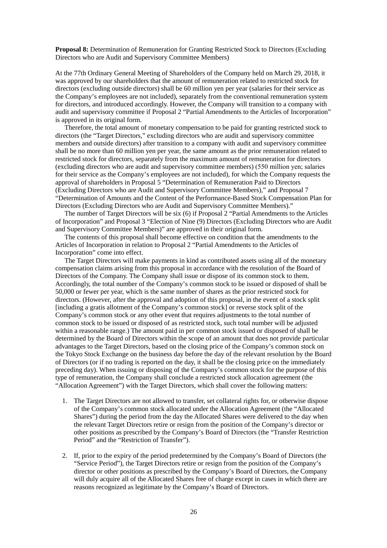**Proposal 8:** Determination of Remuneration for Granting Restricted Stock to Directors (Excluding Directors who are Audit and Supervisory Committee Members)

At the 77th Ordinary General Meeting of Shareholders of the Company held on March 29, 2018, it was approved by our shareholders that the amount of remuneration related to restricted stock for directors (excluding outside directors) shall be 60 million yen per year (salaries for their service as the Company's employees are not included), separately from the conventional remuneration system for directors, and introduced accordingly. However, the Company will transition to a company with audit and supervisory committee if Proposal 2 "Partial Amendments to the Articles of Incorporation" is approved in its original form.

Therefore, the total amount of monetary compensation to be paid for granting restricted stock to directors (the "Target Directors," excluding directors who are audit and supervisory committee members and outside directors) after transition to a company with audit and supervisory committee shall be no more than 60 million yen per year, the same amount as the prior remuneration related to restricted stock for directors, separately from the maximum amount of remuneration for directors (excluding directors who are audit and supervisory committee members) (550 million yen; salaries for their service as the Company's employees are not included), for which the Company requests the approval of shareholders in Proposal 5 "Determination of Remuneration Paid to Directors (Excluding Directors who are Audit and Supervisory Committee Members)," and Proposal 7 "Determination of Amounts and the Content of the Performance-Based Stock Compensation Plan for Directors (Excluding Directors who are Audit and Supervisory Committee Members)."

The number of Target Directors will be six (6) if Proposal 2 "Partial Amendments to the Articles of Incorporation" and Proposal 3 "Election of Nine (9) Directors (Excluding Directors who are Audit and Supervisory Committee Members)" are approved in their original form.

The contents of this proposal shall become effective on condition that the amendments to the Articles of Incorporation in relation to Proposal 2 "Partial Amendments to the Articles of Incorporation" come into effect.

The Target Directors will make payments in kind as contributed assets using all of the monetary compensation claims arising from this proposal in accordance with the resolution of the Board of Directors of the Company. The Company shall issue or dispose of its common stock to them. Accordingly, the total number of the Company's common stock to be issued or disposed of shall be 50,000 or fewer per year, which is the same number of shares as the prior restricted stock for directors. (However, after the approval and adoption of this proposal, in the event of a stock split [including a gratis allotment of the Company's common stock] or reverse stock split of the Company's common stock or any other event that requires adjustments to the total number of common stock to be issued or disposed of as restricted stock, such total number will be adjusted within a reasonable range.) The amount paid in per common stock issued or disposed of shall be determined by the Board of Directors within the scope of an amount that does not provide particular advantages to the Target Directors, based on the closing price of the Company's common stock on the Tokyo Stock Exchange on the business day before the day of the relevant resolution by the Board of Directors (or if no trading is reported on the day, it shall be the closing price on the immediately preceding day). When issuing or disposing of the Company's common stock for the purpose of this type of remuneration, the Company shall conclude a restricted stock allocation agreement (the "Allocation Agreement") with the Target Directors, which shall cover the following matters:

- 1. The Target Directors are not allowed to transfer, set collateral rights for, or otherwise dispose of the Company's common stock allocated under the Allocation Agreement (the "Allocated Shares") during the period from the day the Allocated Shares were delivered to the day when the relevant Target Directors retire or resign from the position of the Company's director or other positions as prescribed by the Company's Board of Directors (the "Transfer Restriction Period" and the "Restriction of Transfer").
- 2. If, prior to the expiry of the period predetermined by the Company's Board of Directors (the "Service Period"), the Target Directors retire or resign from the position of the Company's director or other positions as prescribed by the Company's Board of Directors, the Company will duly acquire all of the Allocated Shares free of charge except in cases in which there are reasons recognized as legitimate by the Company's Board of Directors.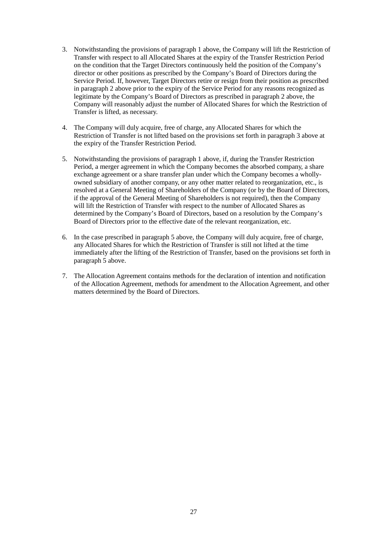- 3. Notwithstanding the provisions of paragraph 1 above, the Company will lift the Restriction of Transfer with respect to all Allocated Shares at the expiry of the Transfer Restriction Period on the condition that the Target Directors continuously held the position of the Company's director or other positions as prescribed by the Company's Board of Directors during the Service Period. If, however, Target Directors retire or resign from their position as prescribed in paragraph 2 above prior to the expiry of the Service Period for any reasons recognized as legitimate by the Company's Board of Directors as prescribed in paragraph 2 above, the Company will reasonably adjust the number of Allocated Shares for which the Restriction of Transfer is lifted, as necessary.
- 4. The Company will duly acquire, free of charge, any Allocated Shares for which the Restriction of Transfer is not lifted based on the provisions set forth in paragraph 3 above at the expiry of the Transfer Restriction Period.
- 5. Notwithstanding the provisions of paragraph 1 above, if, during the Transfer Restriction Period, a merger agreement in which the Company becomes the absorbed company, a share exchange agreement or a share transfer plan under which the Company becomes a whollyowned subsidiary of another company, or any other matter related to reorganization, etc., is resolved at a General Meeting of Shareholders of the Company (or by the Board of Directors, if the approval of the General Meeting of Shareholders is not required), then the Company will lift the Restriction of Transfer with respect to the number of Allocated Shares as determined by the Company's Board of Directors, based on a resolution by the Company's Board of Directors prior to the effective date of the relevant reorganization, etc.
- 6. In the case prescribed in paragraph 5 above, the Company will duly acquire, free of charge, any Allocated Shares for which the Restriction of Transfer is still not lifted at the time immediately after the lifting of the Restriction of Transfer, based on the provisions set forth in paragraph 5 above.
- 7. The Allocation Agreement contains methods for the declaration of intention and notification of the Allocation Agreement, methods for amendment to the Allocation Agreement, and other matters determined by the Board of Directors.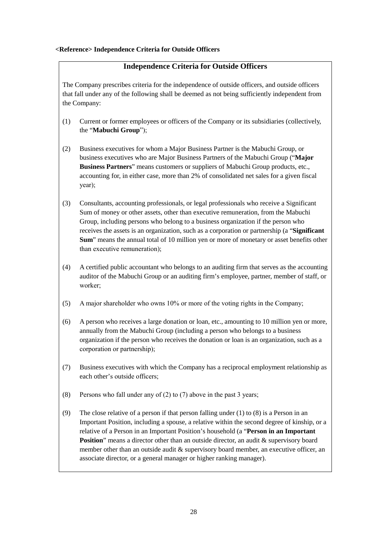# **<Reference> Independence Criteria for Outside Officers**

# **Independence Criteria for Outside Officers**

The Company prescribes criteria for the independence of outside officers, and outside officers that fall under any of the following shall be deemed as not being sufficiently independent from the Company:

- (1) Current or former employees or officers of the Company or its subsidiaries (collectively, the "**Mabuchi Group**");
- (2) Business executives for whom a Major Business Partner is the Mabuchi Group, or business executives who are Major Business Partners of the Mabuchi Group ("**Major Business Partners**" means customers or suppliers of Mabuchi Group products, etc., accounting for, in either case, more than 2% of consolidated net sales for a given fiscal year);
- (3) Consultants, accounting professionals, or legal professionals who receive a Significant Sum of money or other assets, other than executive remuneration, from the Mabuchi Group, including persons who belong to a business organization if the person who receives the assets is an organization, such as a corporation or partnership (a "**Significant Sum**" means the annual total of 10 million yen or more of monetary or asset benefits other than executive remuneration);
- (4) A certified public accountant who belongs to an auditing firm that serves as the accounting auditor of the Mabuchi Group or an auditing firm's employee, partner, member of staff, or worker;
- (5) A major shareholder who owns 10% or more of the voting rights in the Company;
- (6) A person who receives a large donation or loan, etc., amounting to 10 million yen or more, annually from the Mabuchi Group (including a person who belongs to a business organization if the person who receives the donation or loan is an organization, such as a corporation or partnership);
- (7) Business executives with which the Company has a reciprocal employment relationship as each other's outside officers;
- (8) Persons who fall under any of (2) to (7) above in the past 3 years;
- (9) The close relative of a person if that person falling under (1) to (8) is a Person in an Important Position, including a spouse, a relative within the second degree of kinship, or a relative of a Person in an Important Position's household (a "**Person in an Important Position**" means a director other than an outside director, an audit & supervisory board member other than an outside audit & supervisory board member, an executive officer, an associate director, or a general manager or higher ranking manager).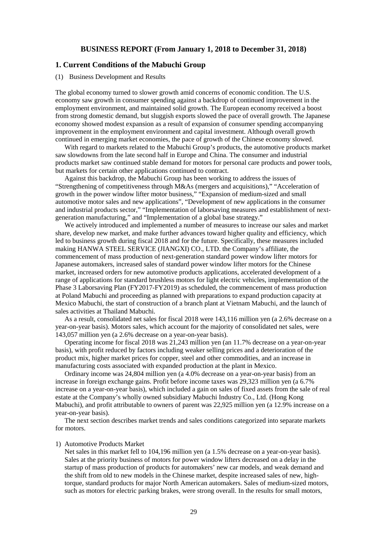## **BUSINESS REPORT (From January 1, 2018 to December 31, 2018)**

# **1. Current Conditions of the Mabuchi Group**

#### (1) Business Development and Results

The global economy turned to slower growth amid concerns of economic condition. The U.S. economy saw growth in consumer spending against a backdrop of continued improvement in the employment environment, and maintained solid growth. The European economy received a boost from strong domestic demand, but sluggish exports slowed the pace of overall growth. The Japanese economy showed modest expansion as a result of expansion of consumer spending accompanying improvement in the employment environment and capital investment. Although overall growth continued in emerging market economies, the pace of growth of the Chinese economy slowed.

With regard to markets related to the Mabuchi Group's products, the automotive products market saw slowdowns from the late second half in Europe and China. The consumer and industrial products market saw continued stable demand for motors for personal care products and power tools, but markets for certain other applications continued to contract.

Against this backdrop, the Mabuchi Group has been working to address the issues of "Strengthening of competitiveness through M&As (mergers and acquisitions)," "Acceleration of growth in the power window lifter motor business," "Expansion of medium-sized and small automotive motor sales and new applications", "Development of new applications in the consumer and industrial products sector," "Implementation of laborsaving measures and establishment of nextgeneration manufacturing," and "Implementation of a global base strategy."

We actively introduced and implemented a number of measures to increase our sales and market share, develop new market, and make further advances toward higher quality and efficiency, which led to business growth during fiscal 2018 and for the future. Specifically, these measures included making HANWA STEEL SERVICE (JIANGXI) CO., LTD. the Company's affiliate, the commencement of mass production of next-generation standard power window lifter motors for Japanese automakers, increased sales of standard power window lifter motors for the Chinese market, increased orders for new automotive products applications, accelerated development of a range of applications for standard brushless motors for light electric vehicles, implementation of the Phase 3 Laborsaving Plan (FY2017-FY2019) as scheduled, the commencement of mass production at Poland Mabuchi and proceeding as planned with preparations to expand production capacity at Mexico Mabuchi, the start of construction of a branch plant at Vietnam Mabuchi, and the launch of sales activities at Thailand Mabuchi.

As a result, consolidated net sales for fiscal 2018 were 143,116 million yen (a 2.6% decrease on a year-on-year basis). Motors sales, which account for the majority of consolidated net sales, were 143,057 million yen (a 2.6% decrease on a year-on-year basis).

Operating income for fiscal 2018 was 21,243 million yen (an 11.7% decrease on a year-on-year basis), with profit reduced by factors including weaker selling prices and a deterioration of the product mix, higher market prices for copper, steel and other commodities, and an increase in manufacturing costs associated with expanded production at the plant in Mexico.

Ordinary income was 24,804 million yen (a 4.0% decrease on a year-on-year basis) from an increase in foreign exchange gains. Profit before income taxes was 29,323 million yen (a 6.7% increase on a year-on-year basis), which included a gain on sales of fixed assets from the sale of real estate at the Company's wholly owned subsidiary Mabuchi Industry Co., Ltd. (Hong Kong Mabuchi), and profit attributable to owners of parent was 22,925 million yen (a 12.9% increase on a year-on-year basis).

The next section describes market trends and sales conditions categorized into separate markets for motors.

#### 1) Automotive Products Market

Net sales in this market fell to 104,196 million yen (a 1.5% decrease on a year-on-year basis). Sales at the priority business of motors for power window lifters decreased on a delay in the startup of mass production of products for automakers' new car models, and weak demand and the shift from old to new models in the Chinese market, despite increased sales of new, hightorque, standard products for major North American automakers. Sales of medium-sized motors, such as motors for electric parking brakes, were strong overall. In the results for small motors,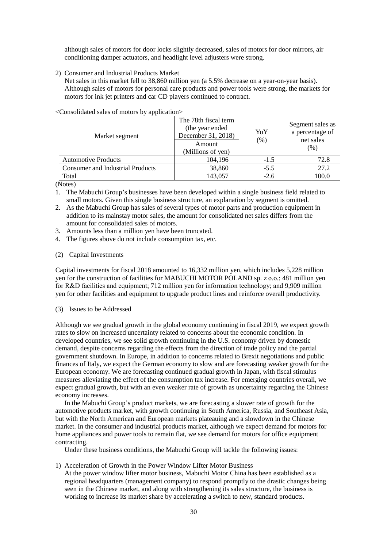although sales of motors for door locks slightly decreased, sales of motors for door mirrors, air conditioning damper actuators, and headlight level adjusters were strong.

2) Consumer and Industrial Products Market

Net sales in this market fell to 38,860 million yen (a 5.5% decrease on a year-on-year basis). Although sales of motors for personal care products and power tools were strong, the markets for motors for ink jet printers and car CD players continued to contract.

| Market segment                          | The 78th fiscal term<br>(the year ended<br>December 31, 2018)<br>Amount<br>(Millions of yen) | YoY<br>(% ) | Segment sales as<br>a percentage of<br>net sales<br>(%) |
|-----------------------------------------|----------------------------------------------------------------------------------------------|-------------|---------------------------------------------------------|
| <b>Automotive Products</b>              | 104,196                                                                                      | $-1.5$      | 72.8                                                    |
| <b>Consumer and Industrial Products</b> | 38,860                                                                                       | $-5.5$      | 27.2                                                    |
| Total                                   | 143,057                                                                                      | $-2.6$      | 100.0                                                   |

<Consolidated sales of motors by application>

(Notes)

- 1. The Mabuchi Group's businesses have been developed within a single business field related to small motors. Given this single business structure, an explanation by segment is omitted.
- 2. As the Mabuchi Group has sales of several types of motor parts and production equipment in addition to its mainstay motor sales, the amount for consolidated net sales differs from the amount for consolidated sales of motors.
- 3. Amounts less than a million yen have been truncated.
- 4. The figures above do not include consumption tax, etc.
- (2) Capital Investments

Capital investments for fiscal 2018 amounted to 16,332 million yen, which includes 5,228 million yen for the construction of facilities for MABUCHI MOTOR POLAND sp. z o.o.; 481 million yen for R&D facilities and equipment; 712 million yen for information technology; and 9,909 million yen for other facilities and equipment to upgrade product lines and reinforce overall productivity.

(3) Issues to be Addressed

Although we see gradual growth in the global economy continuing in fiscal 2019, we expect growth rates to slow on increased uncertainty related to concerns about the economic condition. In developed countries, we see solid growth continuing in the U.S. economy driven by domestic demand, despite concerns regarding the effects from the direction of trade policy and the partial government shutdown. In Europe, in addition to concerns related to Brexit negotiations and public finances of Italy, we expect the German economy to slow and are forecasting weaker growth for the European economy. We are forecasting continued gradual growth in Japan, with fiscal stimulus measures alleviating the effect of the consumption tax increase. For emerging countries overall, we expect gradual growth, but with an even weaker rate of growth as uncertainty regarding the Chinese economy increases.

In the Mabuchi Group's product markets, we are forecasting a slower rate of growth for the automotive products market, with growth continuing in South America, Russia, and Southeast Asia, but with the North American and European markets plateauing and a slowdown in the Chinese market. In the consumer and industrial products market, although we expect demand for motors for home appliances and power tools to remain flat, we see demand for motors for office equipment contracting.

Under these business conditions, the Mabuchi Group will tackle the following issues:

1) Acceleration of Growth in the Power Window Lifter Motor Business

At the power window lifter motor business, Mabuchi Motor China has been established as a regional headquarters (management company) to respond promptly to the drastic changes being seen in the Chinese market, and along with strengthening its sales structure, the business is working to increase its market share by accelerating a switch to new, standard products.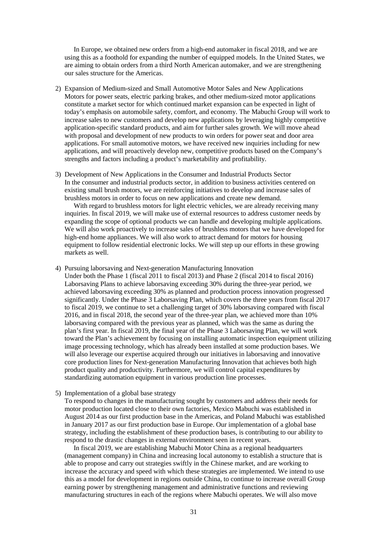In Europe, we obtained new orders from a high-end automaker in fiscal 2018, and we are using this as a foothold for expanding the number of equipped models. In the United States, we are aiming to obtain orders from a third North American automaker, and we are strengthening our sales structure for the Americas.

- 2) Expansion of Medium-sized and Small Automotive Motor Sales and New Applications Motors for power seats, electric parking brakes, and other medium-sized motor applications constitute a market sector for which continued market expansion can be expected in light of today's emphasis on automobile safety, comfort, and economy. The Mabuchi Group will work to increase sales to new customers and develop new applications by leveraging highly competitive application-specific standard products, and aim for further sales growth. We will move ahead with proposal and development of new products to win orders for power seat and door area applications. For small automotive motors, we have received new inquiries including for new applications, and will proactively develop new, competitive products based on the Company's strengths and factors including a product's marketability and profitability.
- 3) Development of New Applications in the Consumer and Industrial Products Sector In the consumer and industrial products sector, in addition to business activities centered on existing small brush motors, we are reinforcing initiatives to develop and increase sales of brushless motors in order to focus on new applications and create new demand.

With regard to brushless motors for light electric vehicles, we are already receiving many inquiries. In fiscal 2019, we will make use of external resources to address customer needs by expanding the scope of optional products we can handle and developing multiple applications. We will also work proactively to increase sales of brushless motors that we have developed for high-end home appliances. We will also work to attract demand for motors for housing equipment to follow residential electronic locks. We will step up our efforts in these growing markets as well.

- 4) Pursuing laborsaving and Next-generation Manufacturing Innovation Under both the Phase 1 (fiscal 2011 to fiscal 2013) and Phase 2 (fiscal 2014 to fiscal 2016) Laborsaving Plans to achieve laborsaving exceeding 30% during the three-year period, we achieved laborsaving exceeding 30% as planned and production process innovation progressed significantly. Under the Phase 3 Laborsaving Plan, which covers the three years from fiscal 2017 to fiscal 2019, we continue to set a challenging target of 30% laborsaving compared with fiscal 2016, and in fiscal 2018, the second year of the three-year plan, we achieved more than 10% laborsaving compared with the previous year as planned, which was the same as during the plan's first year. In fiscal 2019, the final year of the Phase 3 Laborsaving Plan, we will work toward the Plan's achievement by focusing on installing automatic inspection equipment utilizing image processing technology, which has already been installed at some production bases. We will also leverage our expertise acquired through our initiatives in laborsaving and innovative core production lines for Next-generation Manufacturing Innovation that achieves both high product quality and productivity. Furthermore, we will control capital expenditures by standardizing automation equipment in various production line processes.
- 5) Implementation of a global base strategy

To respond to changes in the manufacturing sought by customers and address their needs for motor production located close to their own factories, Mexico Mabuchi was established in August 2014 as our first production base in the Americas, and Poland Mabuchi was established in January 2017 as our first production base in Europe. Our implementation of a global base strategy, including the establishment of these production bases, is contributing to our ability to respond to the drastic changes in external environment seen in recent years.

In fiscal 2019, we are establishing Mabuchi Motor China as a regional headquarters (management company) in China and increasing local autonomy to establish a structure that is able to propose and carry out strategies swiftly in the Chinese market, and are working to increase the accuracy and speed with which these strategies are implemented. We intend to use this as a model for development in regions outside China, to continue to increase overall Group earning power by strengthening management and administrative functions and reviewing manufacturing structures in each of the regions where Mabuchi operates. We will also move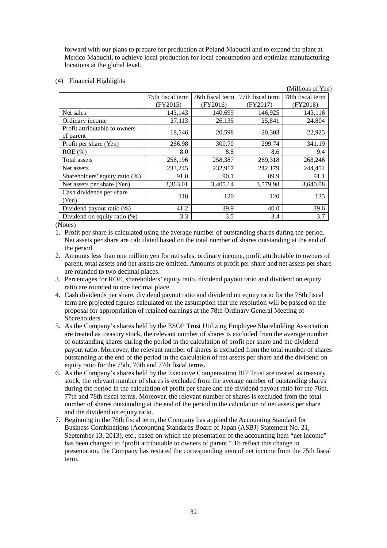forward with our plans to prepare for production at Poland Mabuchi and to expand the plant at Mexico Mabuchi, to achieve local production for local consumption and optimize manufacturing locations at the global level.

(4) Financial Highlights

| 1 manona 111, misno                        |                  |                  |                  | (Millions of Yen) |
|--------------------------------------------|------------------|------------------|------------------|-------------------|
|                                            | 75th fiscal term | 76th fiscal term | 77th fiscal term | 78th fiscal term  |
|                                            | (FY2015)         | (FY2016)         | (FY2017)         | (FY2018)          |
| Net sales                                  | 143,143          | 140,699          | 146,925          | 143,116           |
| Ordinary income                            | 27,113           | 26,135           | 25,841           | 24,804            |
| Profit attributable to owners<br>of parent | 18,546           | 20,598           | 20,303           | 22,925            |
| Profit per share (Yen)                     | 266.98           | 300.70           | 299.74           | 341.19            |
| $ROE$ (%)                                  | 8.0              | 8.8              | 8.6              | 9.4               |
| Total assets                               | 256,196          | 258,387          | 269,318          | 268,246           |
| Net assets                                 | 233,245          | 232,917          | 242,179          | 244,454           |
| Shareholders' equity ratio (%)             | 91.0             | 90.1             | 89.9             | 91.1              |
| Net assets per share (Yen)                 | 3,363.01         | 3,405.14         | 3,579.98         | 3,640.08          |
| Cash dividends per share<br>(Yen)          | 110              | 120              | 120              | 135               |
| Dividend payout ratio (%)                  | 41.2             | 39.9             | 40.0             | 39.6              |
| Dividend on equity ratio (%)               | 3.3              | 3.5              | 3.4              | 3.7               |

(Notes)

- 1. Profit per share is calculated using the average number of outstanding shares during the period. Net assets per share are calculated based on the total number of shares outstanding at the end of the period.
- 2. Amounts less than one million yen for net sales, ordinary income, profit attributable to owners of parent, total assets and net assets are omitted. Amounts of profit per share and net assets per share are rounded to two decimal places.
- 3. Percentages for ROE, shareholders' equity ratio, dividend payout ratio and dividend on equity ratio are rounded to one decimal place.
- 4. Cash dividends per share, dividend payout ratio and dividend on equity ratio for the 78th fiscal term are projected figures calculated on the assumption that the resolution will be passed on the proposal for appropriation of retained earnings at the 78th Ordinary General Meeting of **Shareholders**
- 5. As the Company's shares held by the ESOP Trust Utilizing Employee Shareholding Association are treated as treasury stock, the relevant number of shares is excluded from the average number of outstanding shares during the period in the calculation of profit per share and the dividend payout ratio. Moreover, the relevant number of shares is excluded from the total number of shares outstanding at the end of the period in the calculation of net assets per share and the dividend on equity ratio for the 75th, 76th and 77th fiscal terms.
- 6. As the Company's shares held by the Executive Compensation BIP Trust are treated as treasury stock, the relevant number of shares is excluded from the average number of outstanding shares during the period in the calculation of profit per share and the dividend payout ratio for the 76th, 77th and 78th fiscal terms. Moreover, the relevant number of shares is excluded from the total number of shares outstanding at the end of the period in the calculation of net assets per share and the dividend on equity ratio.
- 7. Beginning in the 76th fiscal term, the Company has applied the Accounting Standard for Business Combinations (Accounting Standards Board of Japan (ASBJ) Statement No. 21, September 13, 2013), etc., based on which the presentation of the accounting item "net income" has been changed to "profit attributable to owners of parent." To reflect this change in presentation, the Company has restated the corresponding item of net income from the 75th fiscal term.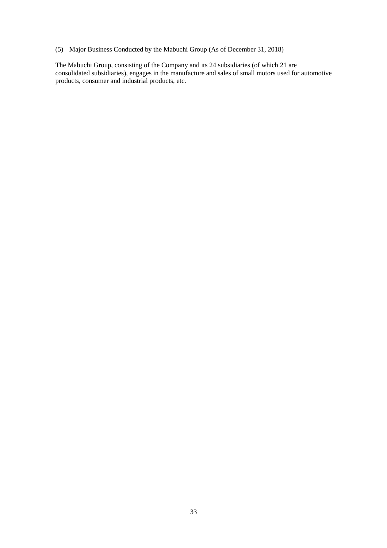(5) Major Business Conducted by the Mabuchi Group (As of December 31, 2018)

The Mabuchi Group, consisting of the Company and its 24 subsidiaries (of which 21 are consolidated subsidiaries), engages in the manufacture and sales of small motors used for automotive products, consumer and industrial products, etc.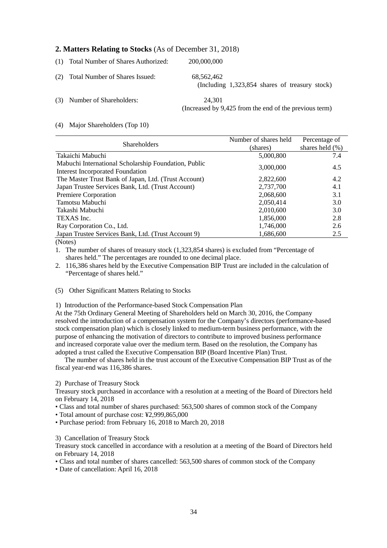# **2. Matters Relating to Stocks** (As of December 31, 2018)

|     | (1) Total Number of Shares Authorized: | 200,000,000                                                      |
|-----|----------------------------------------|------------------------------------------------------------------|
|     | (2) Total Number of Shares Issued:     | 68,562,462<br>(Including $1,323,854$ shares of treasury stock)   |
| (3) | Number of Shareholders:                | 24.301<br>(Increased by 9,425 from the end of the previous term) |

### (4) Major Shareholders (Top 10)

| <b>Shareholders</b>                                  | Number of shares held | Percentage of       |
|------------------------------------------------------|-----------------------|---------------------|
|                                                      | (shares)              | shares held $(\% )$ |
| Takaichi Mabuchi                                     | 5,000,800             | 7.4                 |
| Mabuchi International Scholarship Foundation, Public | 3,000,000             | 4.5                 |
| <b>Interest Incorporated Foundation</b>              |                       |                     |
| The Master Trust Bank of Japan, Ltd. (Trust Account) | 2,822,600             | 4.2                 |
| Japan Trustee Services Bank, Ltd. (Trust Account)    | 2,737,700             | 4.1                 |
| Premiere Corporation                                 | 2,068,600             | 3.1                 |
| Tamotsu Mabuchi                                      | 2,050,414             | 3.0                 |
| Takashi Mabuchi                                      | 2,010,600             | 3.0                 |
| TEXAS Inc.                                           | 1,856,000             | 2.8                 |
| Ray Corporation Co., Ltd.                            | 1,746,000             | 2.6                 |
| Japan Trustee Services Bank, Ltd. (Trust Account 9)  | 1,686,600             | 2.5                 |
| $\sqrt{N}$ $\sqrt{N}$                                |                       |                     |

(Notes)

1. The number of shares of treasury stock (1,323,854 shares) is excluded from "Percentage of shares held." The percentages are rounded to one decimal place.

2. 116,386 shares held by the Executive Compensation BIP Trust are included in the calculation of "Percentage of shares held."

(5) Other Significant Matters Relating to Stocks

1) Introduction of the Performance-based Stock Compensation Plan

At the 75th Ordinary General Meeting of Shareholders held on March 30, 2016, the Company resolved the introduction of a compensation system for the Company's directors (performance-based stock compensation plan) which is closely linked to medium-term business performance, with the purpose of enhancing the motivation of directors to contribute to improved business performance and increased corporate value over the medium term. Based on the resolution, the Company has adopted a trust called the Executive Compensation BIP (Board Incentive Plan) Trust.

The number of shares held in the trust account of the Executive Compensation BIP Trust as of the fiscal year-end was 116,386 shares.

2) Purchase of Treasury Stock

Treasury stock purchased in accordance with a resolution at a meeting of the Board of Directors held on February 14, 2018

• Class and total number of shares purchased: 563,500 shares of common stock of the Company

- Total amount of purchase cost: ¥2,999,865,000
- Purchase period: from February 16, 2018 to March 20, 2018

3) Cancellation of Treasury Stock

Treasury stock cancelled in accordance with a resolution at a meeting of the Board of Directors held on February 14, 2018

• Class and total number of shares cancelled: 563,500 shares of common stock of the Company

• Date of cancellation: April 16, 2018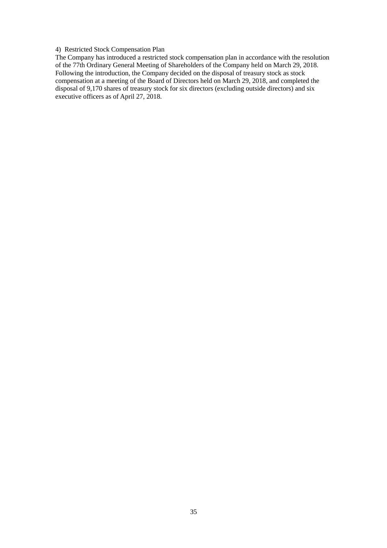## 4) Restricted Stock Compensation Plan

The Company has introduced a restricted stock compensation plan in accordance with the resolution of the 77th Ordinary General Meeting of Shareholders of the Company held on March 29, 2018. Following the introduction, the Company decided on the disposal of treasury stock as stock compensation at a meeting of the Board of Directors held on March 29, 2018, and completed the disposal of 9,170 shares of treasury stock for six directors (excluding outside directors) and six executive officers as of April 27, 2018.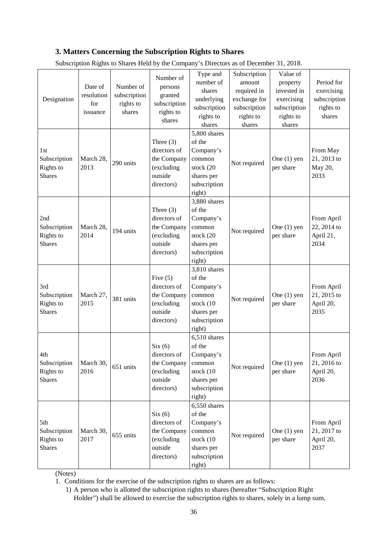# **3. Matters Concerning the Subscription Rights to Shares**

| Designation                                       | Date of<br>resolution<br>for<br>issuance | Number of<br>subscription<br>rights to<br>shares | Number of<br>persons<br>granted<br>subscription<br>rights to<br>shares            | Type and<br>number of<br>shares<br>underlying<br>subscription<br>rights to<br>shares               | Subscription<br>amount<br>required in<br>exchange for<br>subscription<br>rights to<br>shares | Value of<br>property<br>invested in<br>exercising<br>subscription<br>rights to<br>shares | Period for<br>exercising<br>subscription<br>rights to<br>shares |
|---------------------------------------------------|------------------------------------------|--------------------------------------------------|-----------------------------------------------------------------------------------|----------------------------------------------------------------------------------------------------|----------------------------------------------------------------------------------------------|------------------------------------------------------------------------------------------|-----------------------------------------------------------------|
| 1st<br>Subscription<br>Rights to<br><b>Shares</b> | March 28,<br>2013                        | 290 units                                        | Three $(3)$<br>directors of<br>the Company<br>(excluding<br>outside<br>directors) | 5,800 shares<br>of the<br>Company's<br>common<br>stock (20<br>shares per<br>subscription<br>right) | Not required                                                                                 | One $(1)$ yen<br>per share                                                               | From May<br>21, 2013 to<br>May 20,<br>2033                      |
| 2nd<br>Subscription<br>Rights to<br><b>Shares</b> | March 28,<br>2014                        | 194 units                                        | Three $(3)$<br>directors of<br>the Company<br>(excluding<br>outside<br>directors) | 3,880 shares<br>of the<br>Company's<br>common<br>stock (20<br>shares per<br>subscription<br>right) | Not required                                                                                 | One $(1)$ yen<br>per share                                                               | From April<br>22, 2014 to<br>April 21,<br>2034                  |
| 3rd<br>Subscription<br>Rights to<br><b>Shares</b> | March 27,<br>2015                        | 381 units                                        | Five $(5)$<br>directors of<br>the Company<br>(excluding<br>outside<br>directors)  | 3,810 shares<br>of the<br>Company's<br>common<br>stock (10<br>shares per<br>subscription<br>right) | Not required                                                                                 | One $(1)$ yen<br>per share                                                               | From April<br>21, 2015 to<br>April 20,<br>2035                  |
| 4th<br>Subscription<br>Rights to<br><b>Shares</b> | March 30,<br>2016                        | 651 units                                        | Six(6)<br>directors of<br>the Company<br>(excluding<br>outside<br>directors)      | 6,510 shares<br>of the<br>Company's<br>common<br>stock (10<br>shares per<br>subscription<br>right) | Not required                                                                                 | One $(1)$ yen<br>per share                                                               | From April<br>21, 2016 to<br>April 20,<br>2036                  |
| 5th<br>Subscription<br>Rights to<br><b>Shares</b> | March 30,<br>2017                        | 655 units                                        | Six(6)<br>directors of<br>the Company<br>(excluding<br>outside<br>directors)      | 6,550 shares<br>of the<br>Company's<br>common<br>stock (10<br>shares per<br>subscription<br>right) | Not required                                                                                 | One $(1)$ yen<br>per share                                                               | From April<br>21, 2017 to<br>April 20,<br>2037                  |

Subscription Rights to Shares Held by the Company's Directors as of December 31, 2018.

(Notes)

1. Conditions for the exercise of the subscription rights to shares are as follows:

1) A person who is allotted the subscription rights to shares (hereafter "Subscription Right Holder") shall be allowed to exercise the subscription rights to shares, solely in a lump sum,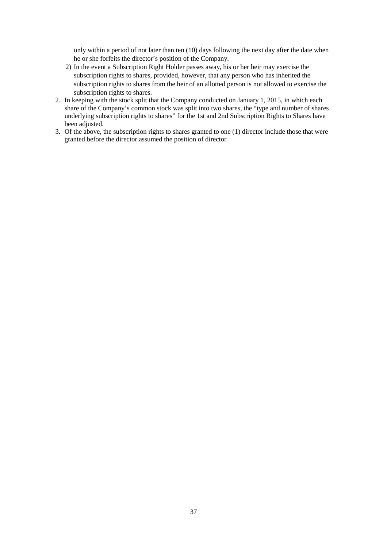only within a period of not later than ten (10) days following the next day after the date when he or she forfeits the director's position of the Company.

- 2) In the event a Subscription Right Holder passes away, his or her heir may exercise the subscription rights to shares, provided, however, that any person who has inherited the subscription rights to shares from the heir of an allotted person is not allowed to exercise the subscription rights to shares.
- 2. In keeping with the stock split that the Company conducted on January 1, 2015, in which each share of the Company's common stock was split into two shares, the "type and number of shares underlying subscription rights to shares" for the 1st and 2nd Subscription Rights to Shares have been adjusted.
- 3. Of the above, the subscription rights to shares granted to one (1) director include those that were granted before the director assumed the position of director.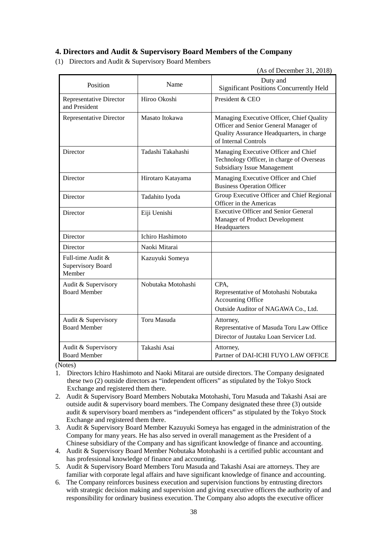# **4. Directors and Audit & Supervisory Board Members of the Company**

(1) Directors and Audit & Supervisory Board Members

(As of December 31, 2018)

| Name<br>Position                                        |                    | Duty and<br><b>Significant Positions Concurrently Held</b>                                                                                              |
|---------------------------------------------------------|--------------------|---------------------------------------------------------------------------------------------------------------------------------------------------------|
| Representative Director<br>and President                | Hiroo Okoshi       | President & CEO                                                                                                                                         |
| <b>Representative Director</b>                          | Masato Itokawa     | Managing Executive Officer, Chief Quality<br>Officer and Senior General Manager of<br>Quality Assurance Headquarters, in charge<br>of Internal Controls |
| Director                                                | Tadashi Takahashi  | Managing Executive Officer and Chief<br>Technology Officer, in charge of Overseas<br><b>Subsidiary Issue Management</b>                                 |
| Director                                                | Hirotaro Katayama  | Managing Executive Officer and Chief<br><b>Business Operation Officer</b>                                                                               |
| Director                                                | Tadahito Iyoda     | Group Executive Officer and Chief Regional<br>Officer in the Americas                                                                                   |
| Director                                                | Eiji Uenishi       | <b>Executive Officer and Senior General</b><br>Manager of Product Development<br>Headquarters                                                           |
| Director                                                | Ichiro Hashimoto   |                                                                                                                                                         |
| Director                                                | Naoki Mitarai      |                                                                                                                                                         |
| Full-time Audit &<br><b>Supervisory Board</b><br>Member | Kazuyuki Someya    |                                                                                                                                                         |
| Audit & Supervisory<br><b>Board Member</b>              | Nobutaka Motohashi | CPA.<br>Representative of Motohashi Nobutaka<br><b>Accounting Office</b><br>Outside Auditor of NAGAWA Co., Ltd.                                         |
| Audit & Supervisory<br><b>Board Member</b>              | Toru Masuda        | Attorney,<br>Representative of Masuda Toru Law Office<br>Director of Juutaku Loan Servicer Ltd.                                                         |
| Audit & Supervisory<br><b>Board Member</b>              | Takashi Asai       | Attorney,<br>Partner of DAI-ICHI FUYO LAW OFFICE                                                                                                        |

(Notes)

- 1. Directors Ichiro Hashimoto and Naoki Mitarai are outside directors. The Company designated these two (2) outside directors as "independent officers" as stipulated by the Tokyo Stock Exchange and registered them there.
- 2. Audit & Supervisory Board Members Nobutaka Motohashi, Toru Masuda and Takashi Asai are outside audit & supervisory board members. The Company designated these three (3) outside audit & supervisory board members as "independent officers" as stipulated by the Tokyo Stock Exchange and registered them there.
- 3. Audit & Supervisory Board Member Kazuyuki Someya has engaged in the administration of the Company for many years. He has also served in overall management as the President of a Chinese subsidiary of the Company and has significant knowledge of finance and accounting.
- 4. Audit & Supervisory Board Member Nobutaka Motohashi is a certified public accountant and has professional knowledge of finance and accounting.
- 5. Audit & Supervisory Board Members Toru Masuda and Takashi Asai are attorneys. They are familiar with corporate legal affairs and have significant knowledge of finance and accounting.
- 6. The Company reinforces business execution and supervision functions by entrusting directors with strategic decision making and supervision and giving executive officers the authority of and responsibility for ordinary business execution. The Company also adopts the executive officer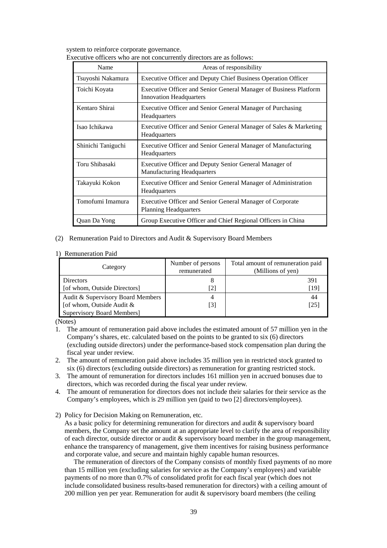system to reinforce corporate governance.

| Name               | Areas of responsibility                                                                             |
|--------------------|-----------------------------------------------------------------------------------------------------|
| Tsuyoshi Nakamura  | Executive Officer and Deputy Chief Business Operation Officer                                       |
| Toichi Koyata      | Executive Officer and Senior General Manager of Business Platform<br><b>Innovation Headquarters</b> |
| Kentaro Shirai     | Executive Officer and Senior General Manager of Purchasing<br>Headquarters                          |
| Isao Ichikawa      | Executive Officer and Senior General Manager of Sales & Marketing<br>Headquarters                   |
| Shinichi Taniguchi | Executive Officer and Senior General Manager of Manufacturing<br>Headquarters                       |
| Toru Shibasaki     | Executive Officer and Deputy Senior General Manager of<br><b>Manufacturing Headquarters</b>         |
| Takayuki Kokon     | Executive Officer and Senior General Manager of Administration<br>Headquarters                      |
| Tomofumi Imamura   | Executive Officer and Senior General Manager of Corporate<br><b>Planning Headquarters</b>           |
| Quan Da Yong       | Group Executive Officer and Chief Regional Officers in China                                        |

Executive officers who are not concurrently directors are as follows:

## (2) Remuneration Paid to Directors and Audit & Supervisory Board Members

#### 1) Remuneration Paid

| Category                          | Number of persons<br>remunerated | Total amount of remuneration paid<br>(Millions of yen) |
|-----------------------------------|----------------------------------|--------------------------------------------------------|
| Directors                         |                                  | 391                                                    |
| [of whom, Outside Directors]      | [2]                              | [19]                                                   |
| Audit & Supervisory Board Members | 4                                | 44                                                     |
| [of whom, Outside Audit $\&$      | [3]                              | [25]                                                   |
| <b>Supervisory Board Members]</b> |                                  |                                                        |

(Notes)

- 1. The amount of remuneration paid above includes the estimated amount of 57 million yen in the Company's shares, etc. calculated based on the points to be granted to six (6) directors (excluding outside directors) under the performance-based stock compensation plan during the fiscal year under review.
- 2. The amount of remuneration paid above includes 35 million yen in restricted stock granted to six (6) directors (excluding outside directors) as remuneration for granting restricted stock.
- 3. The amount of remuneration for directors includes 161 million yen in accrued bonuses due to directors, which was recorded during the fiscal year under review.
- 4. The amount of remuneration for directors does not include their salaries for their service as the Company's employees, which is 29 million yen (paid to two [2] directors/employees).
- 2) Policy for Decision Making on Remuneration, etc.

As a basic policy for determining remuneration for directors and audit & supervisory board members, the Company set the amount at an appropriate level to clarify the area of responsibility of each director, outside director or audit & supervisory board member in the group management, enhance the transparency of management, give them incentives for raising business performance and corporate value, and secure and maintain highly capable human resources.

The remuneration of directors of the Company consists of monthly fixed payments of no more than 15 million yen (excluding salaries for service as the Company's employees) and variable payments of no more than 0.7% of consolidated profit for each fiscal year (which does not include consolidated business results-based remuneration for directors) with a ceiling amount of 200 million yen per year. Remuneration for audit & supervisory board members (the ceiling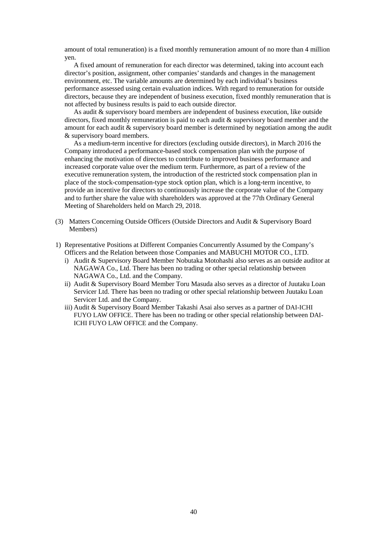amount of total remuneration) is a fixed monthly remuneration amount of no more than 4 million yen.

A fixed amount of remuneration for each director was determined, taking into account each director's position, assignment, other companies' standards and changes in the management environment, etc. The variable amounts are determined by each individual's business performance assessed using certain evaluation indices. With regard to remuneration for outside directors, because they are independent of business execution, fixed monthly remuneration that is not affected by business results is paid to each outside director.

As audit & supervisory board members are independent of business execution, like outside directors, fixed monthly remuneration is paid to each audit & supervisory board member and the amount for each audit & supervisory board member is determined by negotiation among the audit & supervisory board members.

As a medium-term incentive for directors (excluding outside directors), in March 2016 the Company introduced a performance-based stock compensation plan with the purpose of enhancing the motivation of directors to contribute to improved business performance and increased corporate value over the medium term. Furthermore, as part of a review of the executive remuneration system, the introduction of the restricted stock compensation plan in place of the stock-compensation-type stock option plan, which is a long-term incentive, to provide an incentive for directors to continuously increase the corporate value of the Company and to further share the value with shareholders was approved at the 77th Ordinary General Meeting of Shareholders held on March 29, 2018.

- (3) Matters Concerning Outside Officers (Outside Directors and Audit & Supervisory Board Members)
- 1) Representative Positions at Different Companies Concurrently Assumed by the Company's Officers and the Relation between those Companies and MABUCHI MOTOR CO., LTD.
	- i) Audit & Supervisory Board Member Nobutaka Motohashi also serves as an outside auditor at NAGAWA Co., Ltd. There has been no trading or other special relationship between NAGAWA Co., Ltd. and the Company.
	- ii) Audit & Supervisory Board Member Toru Masuda also serves as a director of Juutaku Loan Servicer Ltd. There has been no trading or other special relationship between Juutaku Loan Servicer Ltd. and the Company.
	- iii) Audit & Supervisory Board Member Takashi Asai also serves as a partner of DAI-ICHI FUYO LAW OFFICE. There has been no trading or other special relationship between DAI-ICHI FUYO LAW OFFICE and the Company.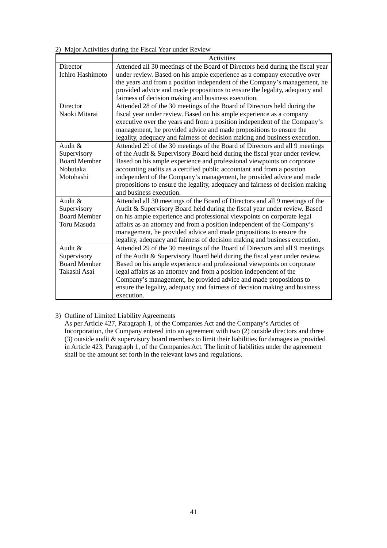2) Major Activities during the Fiscal Year under Review

|                         | <b>Activities</b>                                                              |
|-------------------------|--------------------------------------------------------------------------------|
| Director                | Attended all 30 meetings of the Board of Directors held during the fiscal year |
| <b>Ichiro Hashimoto</b> | under review. Based on his ample experience as a company executive over        |
|                         | the years and from a position independent of the Company's management, he      |
|                         | provided advice and made propositions to ensure the legality, adequacy and     |
|                         | fairness of decision making and business execution.                            |
| Director                | Attended 28 of the 30 meetings of the Board of Directors held during the       |
| Naoki Mitarai           | fiscal year under review. Based on his ample experience as a company           |
|                         | executive over the years and from a position independent of the Company's      |
|                         | management, he provided advice and made propositions to ensure the             |
|                         | legality, adequacy and fairness of decision making and business execution.     |
| Audit &                 | Attended 29 of the 30 meetings of the Board of Directors and all 9 meetings    |
| Supervisory             | of the Audit & Supervisory Board held during the fiscal year under review.     |
| <b>Board Member</b>     | Based on his ample experience and professional viewpoints on corporate         |
| Nobutaka                | accounting audits as a certified public accountant and from a position         |
| Motohashi               | independent of the Company's management, he provided advice and made           |
|                         | propositions to ensure the legality, adequacy and fairness of decision making  |
|                         | and business execution.                                                        |
| Audit &                 | Attended all 30 meetings of the Board of Directors and all 9 meetings of the   |
| Supervisory             | Audit & Supervisory Board held during the fiscal year under review. Based      |
| <b>Board Member</b>     | on his ample experience and professional viewpoints on corporate legal         |
| Toru Masuda             | affairs as an attorney and from a position independent of the Company's        |
|                         | management, he provided advice and made propositions to ensure the             |
|                         | legality, adequacy and fairness of decision making and business execution.     |
| Audit &                 | Attended 29 of the 30 meetings of the Board of Directors and all 9 meetings    |
| Supervisory             | of the Audit & Supervisory Board held during the fiscal year under review.     |
| <b>Board Member</b>     | Based on his ample experience and professional viewpoints on corporate         |
| Takashi Asai            | legal affairs as an attorney and from a position independent of the            |
|                         | Company's management, he provided advice and made propositions to              |
|                         | ensure the legality, adequacy and fairness of decision making and business     |
|                         | execution.                                                                     |

# 3) Outline of Limited Liability Agreements

As per Article 427, Paragraph 1, of the Companies Act and the Company's Articles of Incorporation, the Company entered into an agreement with two (2) outside directors and three (3) outside audit & supervisory board members to limit their liabilities for damages as provided in Article 423, Paragraph 1, of the Companies Act. The limit of liabilities under the agreement shall be the amount set forth in the relevant laws and regulations.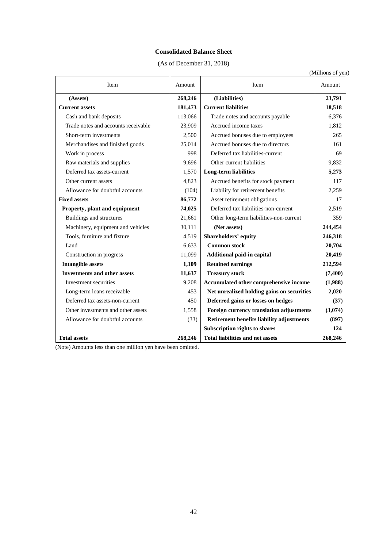# **Consolidated Balance Sheet**

(As of December 31, 2018)

| (Millions of yen) |  |  |
|-------------------|--|--|
|-------------------|--|--|

| Item                                | Amount  | Item                                       | Amount   |
|-------------------------------------|---------|--------------------------------------------|----------|
| (Assets)                            | 268,246 | (Liabilities)                              | 23,791   |
| <b>Current assets</b>               | 181,473 | <b>Current liabilities</b>                 | 18,518   |
| Cash and bank deposits              | 113,066 | Trade notes and accounts payable           | 6,376    |
| Trade notes and accounts receivable | 23,909  | Accrued income taxes                       | 1,812    |
| Short-term investments              | 2,500   | Accrued bonuses due to employees           | 265      |
| Merchandises and finished goods     | 25,014  | Accrued bonuses due to directors           | 161      |
| Work in process                     | 998     | Deferred tax liabilities-current           | 69       |
| Raw materials and supplies          | 9,696   | Other current liabilities                  | 9,832    |
| Deferred tax assets-current         | 1,570   | <b>Long-term liabilities</b>               | 5,273    |
| Other current assets                | 4,823   | Accrued benefits for stock payment         | 117      |
| Allowance for doubtful accounts     | (104)   | Liability for retirement benefits          | 2,259    |
| <b>Fixed assets</b>                 | 86,772  | Asset retirement obligations               | 17       |
| Property, plant and equipment       | 74,025  | Deferred tax liabilities-non-current       | 2,519    |
| Buildings and structures            | 21,661  | Other long-term liabilities-non-current    | 359      |
| Machinery, equipment and vehicles   | 30,111  | (Net assets)                               | 244,454  |
| Tools, furniture and fixture        | 4,519   | <b>Shareholders' equity</b>                | 246,318  |
| Land                                | 6,633   | <b>Common stock</b>                        | 20,704   |
| Construction in progress            | 11,099  | Additional paid-in capital                 | 20,419   |
| <b>Intangible assets</b>            | 1,109   | <b>Retained earnings</b>                   | 212,594  |
| <b>Investments and other assets</b> | 11,637  | <b>Treasury stock</b>                      | (7, 400) |
| Investment securities               | 9,208   | Accumulated other comprehensive income     | (1,988)  |
| Long-term loans receivable          | 453     | Net unrealized holding gains on securities | 2,020    |
| Deferred tax assets-non-current     | 450     | Deferred gains or losses on hedges         | (37)     |
| Other investments and other assets  | 1,558   | Foreign currency translation adjustments   | (3,074)  |
| Allowance for doubtful accounts     | (33)    | Retirement benefits liability adjustments  | (897)    |
|                                     |         | <b>Subscription rights to shares</b>       | 124      |
| <b>Total assets</b>                 | 268,246 | <b>Total liabilities and net assets</b>    | 268,246  |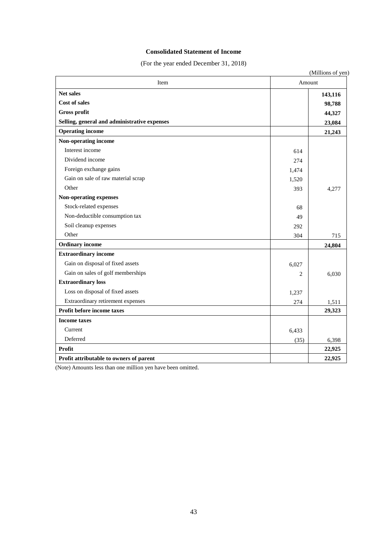## **Consolidated Statement of Income**

(For the year ended December 31, 2018)

| Item                                         | Amount |         |
|----------------------------------------------|--------|---------|
| <b>Net sales</b><br><b>Cost of sales</b>     |        | 143,116 |
| <b>Gross profit</b>                          |        | 98,788  |
| Selling, general and administrative expenses |        | 44,327  |
| <b>Operating income</b>                      |        | 23,084  |
| Non-operating income                         |        | 21,243  |
| Interest income                              |        |         |
|                                              | 614    |         |
| Dividend income                              | 274    |         |
| Foreign exchange gains                       | 1,474  |         |
| Gain on sale of raw material scrap           | 1,520  |         |
| Other                                        | 393    | 4,277   |
| Non-operating expenses                       |        |         |
| Stock-related expenses                       | 68     |         |
| Non-deductible consumption tax               | 49     |         |
| Soil cleanup expenses                        | 292    |         |
| Other                                        | 304    | 715     |
| <b>Ordinary income</b>                       |        | 24,804  |
| <b>Extraordinary income</b>                  |        |         |
| Gain on disposal of fixed assets             | 6,027  |         |
| Gain on sales of golf memberships            | 2      | 6,030   |
| <b>Extraordinary loss</b>                    |        |         |
| Loss on disposal of fixed assets             | 1,237  |         |
| Extraordinary retirement expenses            | 274    | 1,511   |
| Profit before income taxes                   |        | 29,323  |
| <b>Income taxes</b>                          |        |         |
| Current                                      | 6,433  |         |
| Deferred                                     | (35)   | 6,398   |
| Profit                                       |        | 22,925  |
| Profit attributable to owners of parent      |        | 22,925  |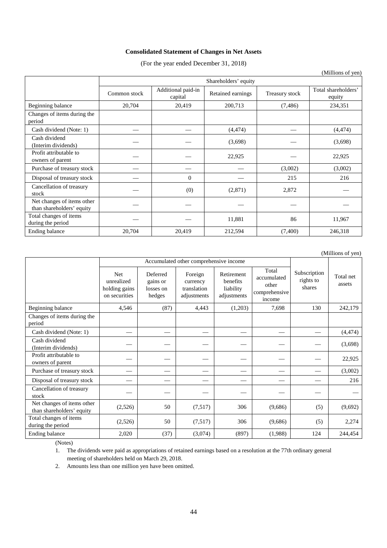## **Consolidated Statement of Changes in Net Assets**

(For the year ended December 31, 2018)

|                                                         |              | Shareholders' equity          |                   |                |                               |  |
|---------------------------------------------------------|--------------|-------------------------------|-------------------|----------------|-------------------------------|--|
|                                                         | Common stock | Additional paid-in<br>capital | Retained earnings | Treasury stock | Total shareholders'<br>equity |  |
| Beginning balance                                       | 20,704       | 20,419                        | 200,713           | (7, 486)       | 234,351                       |  |
| Changes of items during the<br>period                   |              |                               |                   |                |                               |  |
| Cash dividend (Note: 1)                                 |              |                               | (4, 474)          |                | (4, 474)                      |  |
| Cash dividend<br>(Interim dividends)                    |              |                               | (3,698)           |                | (3,698)                       |  |
| Profit attributable to<br>owners of parent              |              |                               | 22,925            |                | 22,925                        |  |
| Purchase of treasury stock                              |              |                               |                   | (3,002)        | (3,002)                       |  |
| Disposal of treasury stock                              |              | $\overline{0}$                |                   | 215            | 216                           |  |
| Cancellation of treasury<br>stock                       |              | (0)                           | (2,871)           | 2,872          |                               |  |
| Net changes of items other<br>than shareholders' equity |              |                               |                   |                |                               |  |
| Total changes of items<br>during the period             |              |                               | 11,881            | 86             | 11,967                        |  |
| Ending balance                                          | 20,704       | 20,419                        | 212,594           | (7,400)        | 246,318                       |  |

(Millions of yen)

|                                                         |                                                            | Accumulated other comprehensive income      |                                                   |                                                    |                                                          |                                     |                     |
|---------------------------------------------------------|------------------------------------------------------------|---------------------------------------------|---------------------------------------------------|----------------------------------------------------|----------------------------------------------------------|-------------------------------------|---------------------|
|                                                         | <b>Net</b><br>unrealized<br>holding gains<br>on securities | Deferred<br>gains or<br>losses on<br>hedges | Foreign<br>currency<br>translation<br>adjustments | Retirement<br>benefits<br>liability<br>adjustments | Total<br>accumulated<br>other<br>comprehensive<br>income | Subscription<br>rights to<br>shares | Total net<br>assets |
| Beginning balance                                       | 4,546                                                      | (87)                                        | 4,443                                             | (1,203)                                            | 7,698                                                    | 130                                 | 242,179             |
| Changes of items during the<br>period                   |                                                            |                                             |                                                   |                                                    |                                                          |                                     |                     |
| Cash dividend (Note: 1)                                 |                                                            |                                             |                                                   |                                                    |                                                          |                                     | (4, 474)            |
| Cash dividend<br>(Interim dividends)                    |                                                            |                                             |                                                   |                                                    |                                                          |                                     | (3,698)             |
| Profit attributable to<br>owners of parent              |                                                            |                                             |                                                   |                                                    |                                                          |                                     | 22,925              |
| Purchase of treasury stock                              |                                                            |                                             |                                                   |                                                    |                                                          |                                     | (3,002)             |
| Disposal of treasury stock                              |                                                            |                                             |                                                   |                                                    |                                                          |                                     | 216                 |
| Cancellation of treasury<br>stock                       |                                                            |                                             |                                                   |                                                    |                                                          |                                     |                     |
| Net changes of items other<br>than shareholders' equity | (2,526)                                                    | 50                                          | (7,517)                                           | 306                                                | (9,686)                                                  | (5)                                 | (9,692)             |
| Total changes of items<br>during the period             | (2,526)                                                    | 50                                          | (7,517)                                           | 306                                                | (9,686)                                                  | (5)                                 | 2,274               |
| Ending balance                                          | 2,020                                                      | (37)                                        | (3,074)                                           | (897)                                              | (1,988)                                                  | 124                                 | 244,454             |

(Notes)

1. The dividends were paid as appropriations of retained earnings based on a resolution at the 77th ordinary general meeting of shareholders held on March 29, 2018.

2. Amounts less than one million yen have been omitted.

(Millions of yen)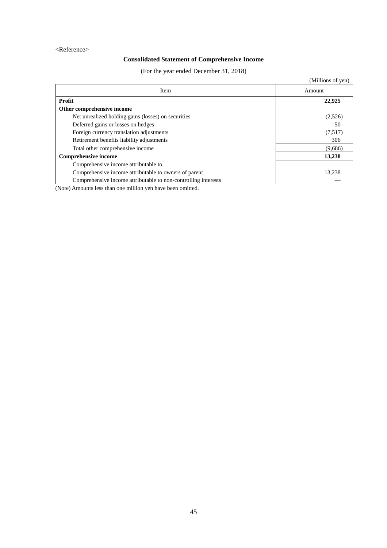## <Reference>

# **Consolidated Statement of Comprehensive Income**

(For the year ended December 31, 2018)

|                                                                | (Millions of yen) |
|----------------------------------------------------------------|-------------------|
| Item                                                           | Amount            |
| Profit                                                         | 22,925            |
| Other comprehensive income                                     |                   |
| Net unrealized holding gains (losses) on securities            | (2,526)           |
| Deferred gains or losses on hedges                             | 50                |
| Foreign currency translation adjustments                       | (7,517)           |
| Retirement benefits liability adjustments                      | 306               |
| Total other comprehensive income                               | (9,686)           |
| <b>Comprehensive income</b>                                    | 13,238            |
| Comprehensive income attributable to                           |                   |
| Comprehensive income attributable to owners of parent          | 13,238            |
| Comprehensive income attributable to non-controlling interests |                   |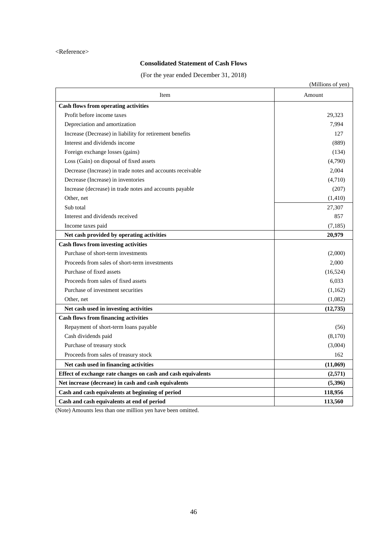### <Reference>

# **Consolidated Statement of Cash Flows**

(For the year ended December 31, 2018)

|                                                              | (Millions of yen) |
|--------------------------------------------------------------|-------------------|
| Item                                                         | Amount            |
| <b>Cash flows from operating activities</b>                  |                   |
| Profit before income taxes                                   | 29,323            |
| Depreciation and amortization                                | 7,994             |
| Increase (Decrease) in liability for retirement benefits     | 127               |
| Interest and dividends income                                | (889)             |
| Foreign exchange losses (gains)                              | (134)             |
| Loss (Gain) on disposal of fixed assets                      | (4,790)           |
| Decrease (Increase) in trade notes and accounts receivable   | 2,004             |
| Decrease (Increase) in inventories                           | (4,710)           |
| Increase (decrease) in trade notes and accounts payable      | (207)             |
| Other, net                                                   | (1,410)           |
| Sub total                                                    | 27,307            |
| Interest and dividends received                              | 857               |
| Income taxes paid                                            | (7,185)           |
| Net cash provided by operating activities                    | 20,979            |
| <b>Cash flows from investing activities</b>                  |                   |
| Purchase of short-term investments                           | (2,000)           |
| Proceeds from sales of short-term investments                | 2,000             |
| Purchase of fixed assets                                     | (16,524)          |
| Proceeds from sales of fixed assets                          | 6,033             |
| Purchase of investment securities                            | (1,162)           |
| Other, net                                                   | (1,082)           |
| Net cash used in investing activities                        | (12,735)          |
| <b>Cash flows from financing activities</b>                  |                   |
| Repayment of short-term loans payable                        | (56)              |
| Cash dividends paid                                          | (8,170)           |
| Purchase of treasury stock                                   | (3,004)           |
| Proceeds from sales of treasury stock                        | 162               |
| Net cash used in financing activities                        | (11,069)          |
| Effect of exchange rate changes on cash and cash equivalents | (2,571)           |
| Net increase (decrease) in cash and cash equivalents         | (5,396)           |
| Cash and cash equivalents at beginning of period             | 118,956           |
| Cash and cash equivalents at end of period                   | 113,560           |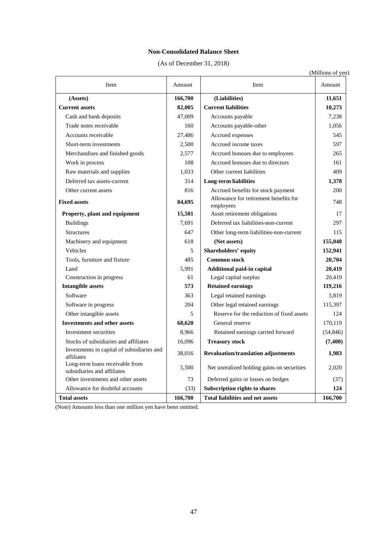## **Non-Consolidated Balance Sheet**

(As of December 31, 2018)

| (Millions of yen) |  |  |
|-------------------|--|--|
|                   |  |  |
|                   |  |  |

| Item                                                           | Amount  | Item                                               | Amount    |
|----------------------------------------------------------------|---------|----------------------------------------------------|-----------|
| (Assets)                                                       | 166,700 | (Liabilities)                                      | 11,651    |
| <b>Current assets</b>                                          | 82,005  | <b>Current liabilities</b>                         | 10,273    |
| Cash and bank deposits                                         | 47,009  | Accounts payable                                   | 7,238     |
| Trade notes receivable                                         | 160     | Accounts payable-other                             | 1,056     |
| Accounts receivable                                            | 27,486  | Accrued expenses                                   | 545       |
| Short-term investments                                         | 2,500   | Accrued income taxes                               | 597       |
| Merchandises and finished goods                                | 2,577   | Accrued bonuses due to employees                   | 265       |
| Work in process                                                | 108     | Accrued bonuses due to directors                   | 161       |
| Raw materials and supplies                                     | 1,033   | Other current liabilities                          | 409       |
| Deferred tax assets-current                                    | 314     | Long-term liabilities                              | 1,378     |
| Other current assets                                           | 816     | Accrued benefits for stock payment                 | 200       |
| <b>Fixed assets</b>                                            | 84,695  | Allowance for retirement benefits for<br>employees | 748       |
| Property, plant and equipment                                  | 15,501  | Asset retirement obligations                       | 17        |
| <b>Buildings</b>                                               | 7,691   | Deferred tax liabilities-non-current               | 297       |
| <b>Structures</b>                                              | 647     | Other long-term liabilities-non-current            | 115       |
| Machinery and equipment                                        | 618     | (Net assets)                                       | 155,048   |
| Vehicles                                                       | 5       | <b>Shareholders' equity</b>                        | 152,941   |
| Tools, furniture and fixture                                   | 485     | <b>Common stock</b>                                | 20,704    |
| Land                                                           | 5,991   | Additional paid-in capital                         | 20,419    |
| Construction in progress                                       | 61      | Legal capital surplus                              | 20,419    |
| <b>Intangible assets</b>                                       | 573     | <b>Retained earnings</b>                           | 119,216   |
| Software                                                       | 363     | Legal retained earnings                            | 3,819     |
| Software in progress                                           | 204     | Other legal retained earnings                      | 115,397   |
| Other intangible assets                                        | 5       | Reserve for the reduction of fixed assets          | 124       |
| <b>Investments and other assets</b>                            | 68,620  | General reserve                                    | 170,119   |
| Investment securities                                          | 8,966   | Retained earnings carried forward                  | (54, 846) |
| Stocks of subsidiaries and affiliates                          | 16,096  | <b>Treasury stock</b>                              | (7,400)   |
| Investments in capital of subsidiaries and<br>affiliates       | 38,016  | <b>Revaluation/translation adjustments</b>         | 1,983     |
| Long-term loans receivable from<br>subsidiaries and affiliates | 5,500   | Net unrealized holding gains on securities         | 2.020     |
| Other investments and other assets                             | 73      | Deferred gains or losses on hedges                 | (37)      |
| Allowance for doubtful accounts                                | (33)    | <b>Subscription rights to shares</b>               | 124       |
| <b>Total assets</b>                                            | 166,700 | <b>Total liabilities and net assets</b>            | 166,700   |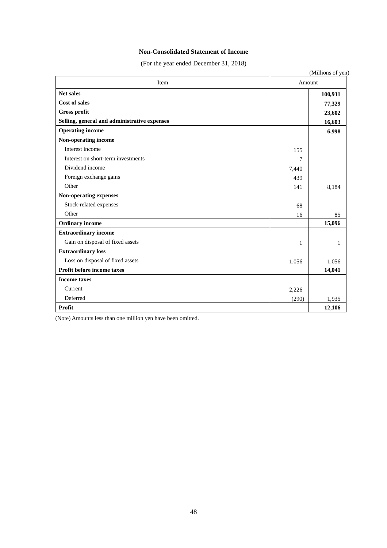## **Non-Consolidated Statement of Income**

(For the year ended December 31, 2018)

|                                              |       | (Millions of yen) |
|----------------------------------------------|-------|-------------------|
| Item                                         |       | Amount            |
| <b>Net sales</b>                             |       | 100,931           |
| Cost of sales                                |       | 77,329            |
| <b>Gross profit</b>                          |       | 23,602            |
| Selling, general and administrative expenses |       | 16,603            |
| <b>Operating income</b>                      |       | 6,998             |
| Non-operating income                         |       |                   |
| Interest income                              | 155   |                   |
| Interest on short-term investments           | 7     |                   |
| Dividend income                              | 7,440 |                   |
| Foreign exchange gains                       | 439   |                   |
| Other                                        | 141   | 8,184             |
| Non-operating expenses                       |       |                   |
| Stock-related expenses                       | 68    |                   |
| Other                                        | 16    | 85                |
| <b>Ordinary income</b>                       |       | 15,096            |
| <b>Extraordinary income</b>                  |       |                   |
| Gain on disposal of fixed assets             | 1     | 1                 |
| <b>Extraordinary loss</b>                    |       |                   |
| Loss on disposal of fixed assets             | 1,056 | 1,056             |
| Profit before income taxes                   |       | 14,041            |
| <b>Income taxes</b>                          |       |                   |
| Current                                      | 2,226 |                   |
| Deferred                                     | (290) | 1,935             |
| Profit                                       |       | 12,106            |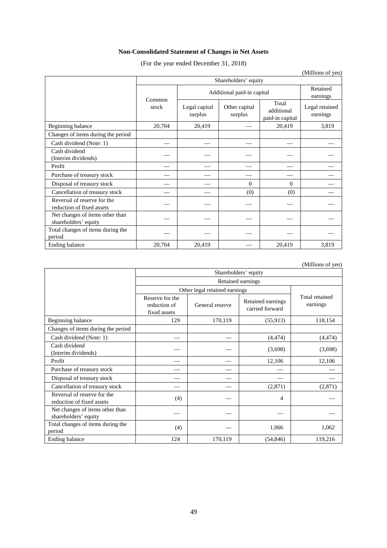# **Non-Consolidated Statement of Changes in Net Assets**

(For the year ended December 31, 2018)

|                                                          |                      |                            |                          |                                        | (Millions of yen)          |  |  |  |
|----------------------------------------------------------|----------------------|----------------------------|--------------------------|----------------------------------------|----------------------------|--|--|--|
|                                                          | Shareholders' equity |                            |                          |                                        |                            |  |  |  |
|                                                          | Common               | Additional paid-in capital | Retained<br>earnings     |                                        |                            |  |  |  |
|                                                          | stock                | Legal capital<br>surplus   | Other capital<br>surplus | Total<br>additional<br>paid-in capital | Legal retained<br>earnings |  |  |  |
| Beginning balance                                        | 20,704               | 20,419                     |                          | 20,419                                 | 3,819                      |  |  |  |
| Changes of items during the period                       |                      |                            |                          |                                        |                            |  |  |  |
| Cash dividend (Note: 1)                                  |                      |                            |                          |                                        |                            |  |  |  |
| Cash dividend<br>(Interim dividends)                     |                      |                            |                          |                                        |                            |  |  |  |
| Profit                                                   |                      |                            |                          |                                        |                            |  |  |  |
| Purchase of treasury stock                               |                      |                            |                          |                                        |                            |  |  |  |
| Disposal of treasury stock                               |                      |                            | $\Omega$                 | $\Omega$                               |                            |  |  |  |
| Cancellation of treasury stock                           |                      |                            | (0)                      | (0)                                    |                            |  |  |  |
| Reversal of reserve for the<br>reduction of fixed assets |                      |                            |                          |                                        |                            |  |  |  |
| Net changes of items other than<br>shareholders' equity  |                      |                            |                          |                                        |                            |  |  |  |
| Total changes of items during the<br>period              |                      |                            |                          |                                        |                            |  |  |  |
| Ending balance                                           | 20,704               | 20,419                     |                          | 20,419                                 | 3,819                      |  |  |  |

(Millions of yen)

|                                                          | Shareholders' equity                            |                 |                                      |                            |  |  |  |
|----------------------------------------------------------|-------------------------------------------------|-----------------|--------------------------------------|----------------------------|--|--|--|
|                                                          | Retained earnings                               |                 |                                      |                            |  |  |  |
|                                                          | Other legal retained earnings                   |                 |                                      |                            |  |  |  |
|                                                          | Reserve for the<br>reduction of<br>fixed assets | General reserve | Retained earnings<br>carried forward | Total retained<br>earnings |  |  |  |
| Beginning balance                                        | 129                                             | 170,119         | (55,913)                             | 118,154                    |  |  |  |
| Changes of items during the period                       |                                                 |                 |                                      |                            |  |  |  |
| Cash dividend (Note: 1)                                  |                                                 |                 | (4, 474)                             | (4, 474)                   |  |  |  |
| Cash dividend<br>(Interim dividends)                     |                                                 |                 | (3,698)                              | (3,698)                    |  |  |  |
| Profit                                                   |                                                 |                 | 12,106                               | 12,106                     |  |  |  |
| Purchase of treasury stock                               |                                                 |                 |                                      |                            |  |  |  |
| Disposal of treasury stock                               |                                                 |                 |                                      |                            |  |  |  |
| Cancellation of treasury stock                           |                                                 |                 | (2,871)                              | (2,871)                    |  |  |  |
| Reversal of reserve for the<br>reduction of fixed assets | (4)                                             |                 | $\overline{4}$                       |                            |  |  |  |
| Net changes of items other than<br>shareholders' equity  |                                                 |                 |                                      |                            |  |  |  |
| Total changes of items during the<br>period              | (4)                                             |                 | 1,066                                | 1,062                      |  |  |  |
| Ending balance                                           | 124                                             | 170,119         | (54, 846)                            | 119,216                    |  |  |  |